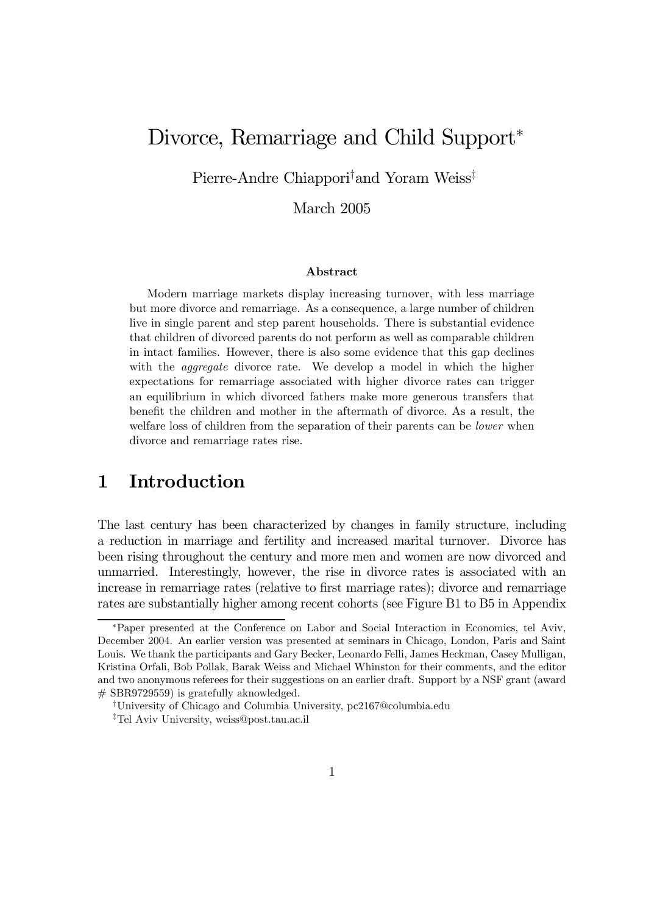# Divorce, Remarriage and Child Support<sup>∗</sup>

Pierre-Andre Chiappori† and Yoram Weiss‡

March 2005

#### Abstract

Modern marriage markets display increasing turnover, with less marriage but more divorce and remarriage. As a consequence, a large number of children live in single parent and step parent households. There is substantial evidence that children of divorced parents do not perform as well as comparable children in intact families. However, there is also some evidence that this gap declines with the *aggregate* divorce rate. We develop a model in which the higher expectations for remarriage associated with higher divorce rates can trigger an equilibrium in which divorced fathers make more generous transfers that benefit the children and mother in the aftermath of divorce. As a result, the welfare loss of children from the separation of their parents can be *lower* when divorce and remarriage rates rise.

# 1 Introduction

The last century has been characterized by changes in family structure, including a reduction in marriage and fertility and increased marital turnover. Divorce has been rising throughout the century and more men and women are now divorced and unmarried. Interestingly, however, the rise in divorce rates is associated with an increase in remarriage rates (relative to first marriage rates); divorce and remarriage rates are substantially higher among recent cohorts (see Figure B1 to B5 in Appendix

<sup>∗</sup>Paper presented at the Conference on Labor and Social Interaction in Economics, tel Aviv, December 2004. An earlier version was presented at seminars in Chicago, London, Paris and Saint Louis. We thank the participants and Gary Becker, Leonardo Felli, James Heckman, Casey Mulligan, Kristina Orfali, Bob Pollak, Barak Weiss and Michael Whinston for their comments, and the editor and two anonymous referees for their suggestions on an earlier draft. Support by a NSF grant (award  $#$  SBR9729559) is gratefully aknowledged.

<sup>†</sup>University of Chicago and Columbia University, pc2167@columbia.edu

<sup>‡</sup>Tel Aviv University, weiss@post.tau.ac.il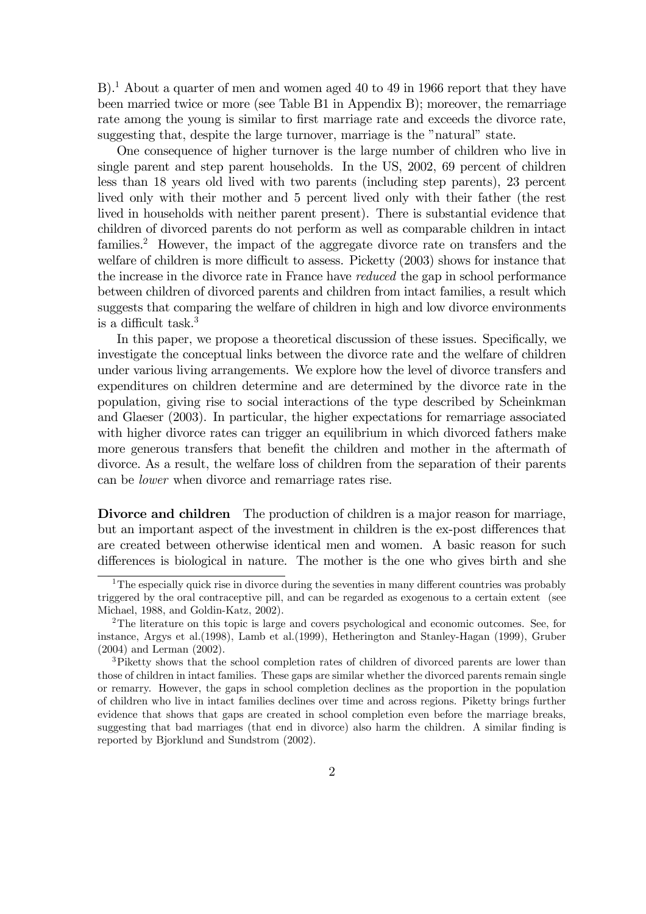B).<sup>1</sup> About a quarter of men and women aged 40 to 49 in 1966 report that they have been married twice or more (see Table B1 in Appendix B); moreover, the remarriage rate among the young is similar to first marriage rate and exceeds the divorce rate, suggesting that, despite the large turnover, marriage is the "natural" state.

One consequence of higher turnover is the large number of children who live in single parent and step parent households. In the US, 2002, 69 percent of children less than 18 years old lived with two parents (including step parents), 23 percent lived only with their mother and 5 percent lived only with their father (the rest lived in households with neither parent present). There is substantial evidence that children of divorced parents do not perform as well as comparable children in intact families.<sup>2</sup> However, the impact of the aggregate divorce rate on transfers and the welfare of children is more difficult to assess. Picketty (2003) shows for instance that the increase in the divorce rate in France have reduced the gap in school performance between children of divorced parents and children from intact families, a result which suggests that comparing the welfare of children in high and low divorce environments is a difficult task.3

In this paper, we propose a theoretical discussion of these issues. Specifically, we investigate the conceptual links between the divorce rate and the welfare of children under various living arrangements. We explore how the level of divorce transfers and expenditures on children determine and are determined by the divorce rate in the population, giving rise to social interactions of the type described by Scheinkman and Glaeser (2003). In particular, the higher expectations for remarriage associated with higher divorce rates can trigger an equilibrium in which divorced fathers make more generous transfers that benefit the children and mother in the aftermath of divorce. As a result, the welfare loss of children from the separation of their parents can be lower when divorce and remarriage rates rise.

Divorce and children The production of children is a major reason for marriage, but an important aspect of the investment in children is the ex-post differences that are created between otherwise identical men and women. A basic reason for such differences is biological in nature. The mother is the one who gives birth and she

<sup>&</sup>lt;sup>1</sup>The especially quick rise in divorce during the seventies in many different countries was probably triggered by the oral contraceptive pill, and can be regarded as exogenous to a certain extent (see Michael, 1988, and Goldin-Katz, 2002).

<sup>2</sup>The literature on this topic is large and covers psychological and economic outcomes. See, for instance, Argys et al.(1998), Lamb et al.(1999), Hetherington and Stanley-Hagan (1999), Gruber (2004) and Lerman (2002).

<sup>&</sup>lt;sup>3</sup>Piketty shows that the school completion rates of children of divorced parents are lower than those of children in intact families. These gaps are similar whether the divorced parents remain single or remarry. However, the gaps in school completion declines as the proportion in the population of children who live in intact families declines over time and across regions. Piketty brings further evidence that shows that gaps are created in school completion even before the marriage breaks, suggesting that bad marriages (that end in divorce) also harm the children. A similar finding is reported by Bjorklund and Sundstrom (2002).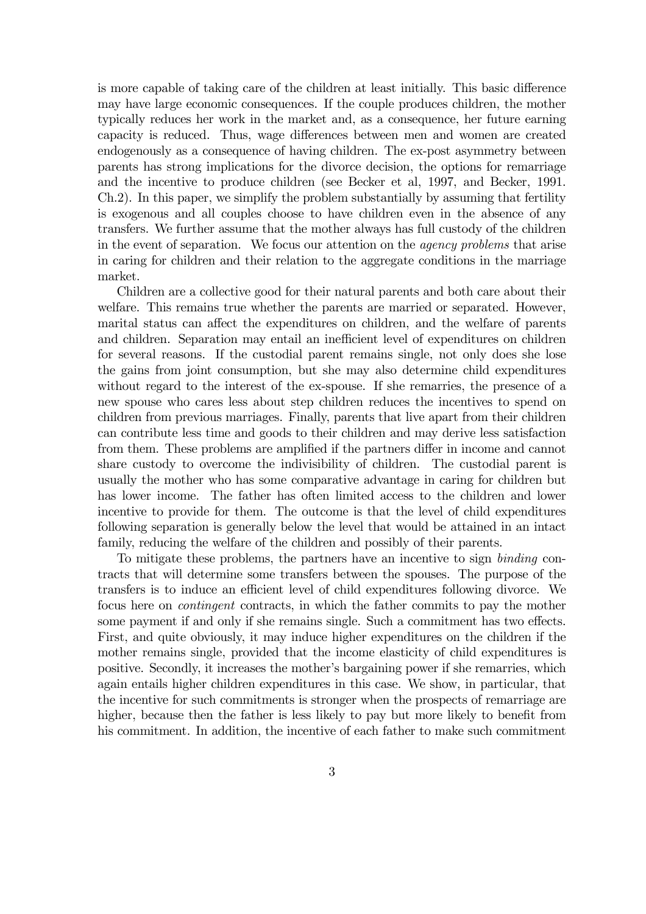is more capable of taking care of the children at least initially. This basic difference may have large economic consequences. If the couple produces children, the mother typically reduces her work in the market and, as a consequence, her future earning capacity is reduced. Thus, wage differences between men and women are created endogenously as a consequence of having children. The ex-post asymmetry between parents has strong implications for the divorce decision, the options for remarriage and the incentive to produce children (see Becker et al, 1997, and Becker, 1991. Ch.2). In this paper, we simplify the problem substantially by assuming that fertility is exogenous and all couples choose to have children even in the absence of any transfers. We further assume that the mother always has full custody of the children in the event of separation. We focus our attention on the agency problems that arise in caring for children and their relation to the aggregate conditions in the marriage market.

Children are a collective good for their natural parents and both care about their welfare. This remains true whether the parents are married or separated. However, marital status can affect the expenditures on children, and the welfare of parents and children. Separation may entail an inefficient level of expenditures on children for several reasons. If the custodial parent remains single, not only does she lose the gains from joint consumption, but she may also determine child expenditures without regard to the interest of the ex-spouse. If she remarries, the presence of a new spouse who cares less about step children reduces the incentives to spend on children from previous marriages. Finally, parents that live apart from their children can contribute less time and goods to their children and may derive less satisfaction from them. These problems are amplified if the partners differ in income and cannot share custody to overcome the indivisibility of children. The custodial parent is usually the mother who has some comparative advantage in caring for children but has lower income. The father has often limited access to the children and lower incentive to provide for them. The outcome is that the level of child expenditures following separation is generally below the level that would be attained in an intact family, reducing the welfare of the children and possibly of their parents.

To mitigate these problems, the partners have an incentive to sign binding contracts that will determine some transfers between the spouses. The purpose of the transfers is to induce an efficient level of child expenditures following divorce. We focus here on contingent contracts, in which the father commits to pay the mother some payment if and only if she remains single. Such a commitment has two effects. First, and quite obviously, it may induce higher expenditures on the children if the mother remains single, provided that the income elasticity of child expenditures is positive. Secondly, it increases the mother's bargaining power if she remarries, which again entails higher children expenditures in this case. We show, in particular, that the incentive for such commitments is stronger when the prospects of remarriage are higher, because then the father is less likely to pay but more likely to benefit from his commitment. In addition, the incentive of each father to make such commitment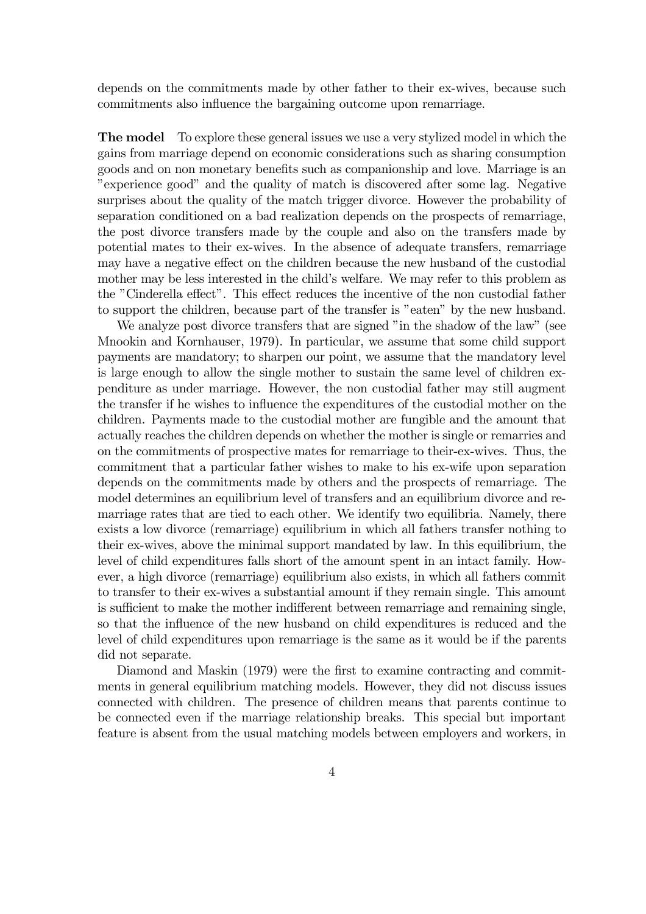depends on the commitments made by other father to their ex-wives, because such commitments also influence the bargaining outcome upon remarriage.

The model To explore these general issues we use a very stylized model in which the gains from marriage depend on economic considerations such as sharing consumption goods and on non monetary benefits such as companionship and love. Marriage is an "experience good" and the quality of match is discovered after some lag. Negative surprises about the quality of the match trigger divorce. However the probability of separation conditioned on a bad realization depends on the prospects of remarriage, the post divorce transfers made by the couple and also on the transfers made by potential mates to their ex-wives. In the absence of adequate transfers, remarriage may have a negative effect on the children because the new husband of the custodial mother may be less interested in the child's welfare. We may refer to this problem as the "Cinderella effect". This effect reduces the incentive of the non custodial father to support the children, because part of the transfer is "eaten" by the new husband.

We analyze post divorce transfers that are signed "in the shadow of the law" (see Mnookin and Kornhauser, 1979). In particular, we assume that some child support payments are mandatory; to sharpen our point, we assume that the mandatory level is large enough to allow the single mother to sustain the same level of children expenditure as under marriage. However, the non custodial father may still augment the transfer if he wishes to influence the expenditures of the custodial mother on the children. Payments made to the custodial mother are fungible and the amount that actually reaches the children depends on whether the mother is single or remarries and on the commitments of prospective mates for remarriage to their-ex-wives. Thus, the commitment that a particular father wishes to make to his ex-wife upon separation depends on the commitments made by others and the prospects of remarriage. The model determines an equilibrium level of transfers and an equilibrium divorce and remarriage rates that are tied to each other. We identify two equilibria. Namely, there exists a low divorce (remarriage) equilibrium in which all fathers transfer nothing to their ex-wives, above the minimal support mandated by law. In this equilibrium, the level of child expenditures falls short of the amount spent in an intact family. However, a high divorce (remarriage) equilibrium also exists, in which all fathers commit to transfer to their ex-wives a substantial amount if they remain single. This amount is sufficient to make the mother indifferent between remarriage and remaining single, so that the influence of the new husband on child expenditures is reduced and the level of child expenditures upon remarriage is the same as it would be if the parents did not separate.

Diamond and Maskin (1979) were the first to examine contracting and commitments in general equilibrium matching models. However, they did not discuss issues connected with children. The presence of children means that parents continue to be connected even if the marriage relationship breaks. This special but important feature is absent from the usual matching models between employers and workers, in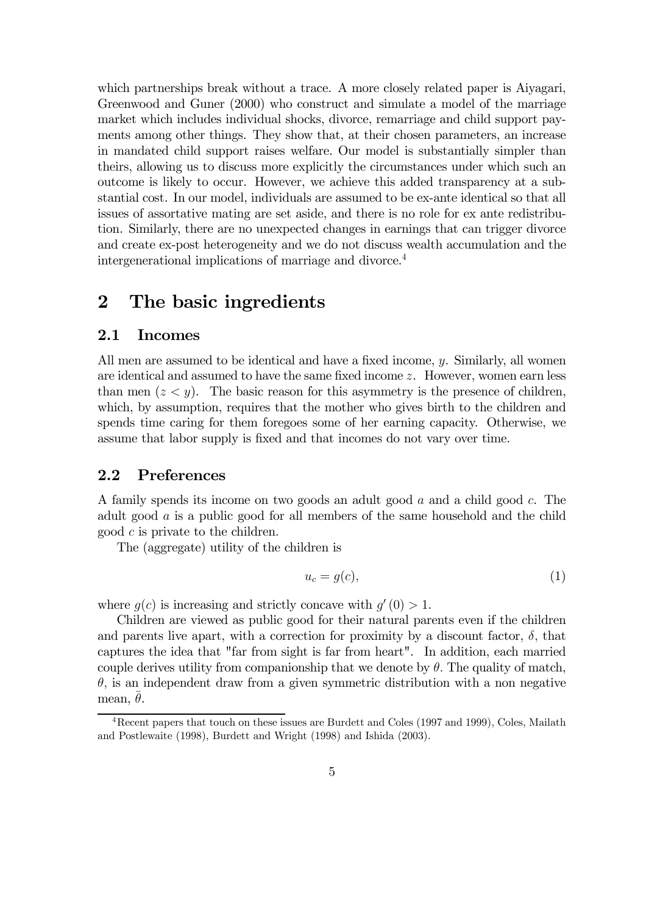which partnerships break without a trace. A more closely related paper is Aiyagari, Greenwood and Guner (2000) who construct and simulate a model of the marriage market which includes individual shocks, divorce, remarriage and child support payments among other things. They show that, at their chosen parameters, an increase in mandated child support raises welfare. Our model is substantially simpler than theirs, allowing us to discuss more explicitly the circumstances under which such an outcome is likely to occur. However, we achieve this added transparency at a substantial cost. In our model, individuals are assumed to be ex-ante identical so that all issues of assortative mating are set aside, and there is no role for ex ante redistribution. Similarly, there are no unexpected changes in earnings that can trigger divorce and create ex-post heterogeneity and we do not discuss wealth accumulation and the intergenerational implications of marriage and divorce.4

## 2 The basic ingredients

#### 2.1 Incomes

All men are assumed to be identical and have a fixed income, y. Similarly, all women are identical and assumed to have the same fixed income z. However, women earn less than men  $(z \leq y)$ . The basic reason for this asymmetry is the presence of children, which, by assumption, requires that the mother who gives birth to the children and spends time caring for them foregoes some of her earning capacity. Otherwise, we assume that labor supply is fixed and that incomes do not vary over time.

### 2.2 Preferences

A family spends its income on two goods an adult good a and a child good c. The adult good  $a$  is a public good for all members of the same household and the child good c is private to the children.

The (aggregate) utility of the children is

$$
u_c = g(c),\tag{1}
$$

where  $q(c)$  is increasing and strictly concave with  $q'(0) > 1$ .

Children are viewed as public good for their natural parents even if the children and parents live apart, with a correction for proximity by a discount factor,  $\delta$ , that captures the idea that "far from sight is far from heart". In addition, each married couple derives utility from companionship that we denote by  $\theta$ . The quality of match,  $\theta$ , is an independent draw from a given symmetric distribution with a non negative mean,  $\theta$ .

<sup>4</sup>Recent papers that touch on these issues are Burdett and Coles (1997 and 1999), Coles, Mailath and Postlewaite (1998), Burdett and Wright (1998) and Ishida (2003).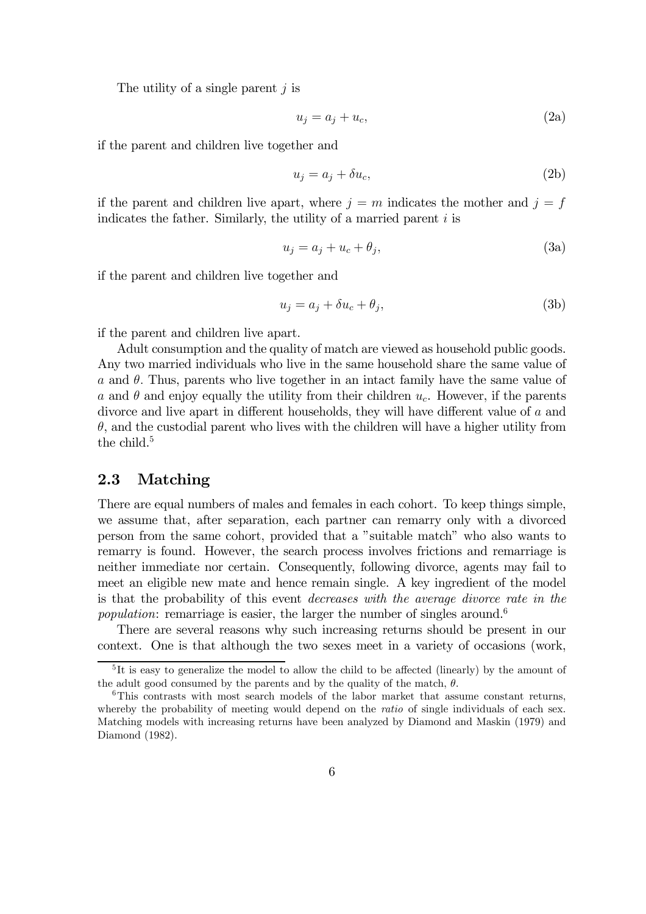The utility of a single parent  $i$  is

$$
u_j = a_j + u_c,\tag{2a}
$$

if the parent and children live together and

$$
u_j = a_j + \delta u_c,\tag{2b}
$$

if the parent and children live apart, where  $j = m$  indicates the mother and  $j = f$ indicates the father. Similarly, the utility of a married parent  $i$  is

$$
u_j = a_j + u_c + \theta_j,\tag{3a}
$$

if the parent and children live together and

$$
u_j = a_j + \delta u_c + \theta_j,\tag{3b}
$$

if the parent and children live apart.

Adult consumption and the quality of match are viewed as household public goods. Any two married individuals who live in the same household share the same value of a and  $\theta$ . Thus, parents who live together in an intact family have the same value of a and  $\theta$  and enjoy equally the utility from their children  $u_c$ . However, if the parents divorce and live apart in different households, they will have different value of a and  $\theta$ , and the custodial parent who lives with the children will have a higher utility from the child.<sup>5</sup>

### 2.3 Matching

There are equal numbers of males and females in each cohort. To keep things simple, we assume that, after separation, each partner can remarry only with a divorced person from the same cohort, provided that a "suitable match" who also wants to remarry is found. However, the search process involves frictions and remarriage is neither immediate nor certain. Consequently, following divorce, agents may fail to meet an eligible new mate and hence remain single. A key ingredient of the model is that the probability of this event decreases with the average divorce rate in the *population:* remarriage is easier, the larger the number of singles around.<sup>6</sup>

There are several reasons why such increasing returns should be present in our context. One is that although the two sexes meet in a variety of occasions (work,

<sup>&</sup>lt;sup>5</sup>It is easy to generalize the model to allow the child to be affected (linearly) by the amount of the adult good consumed by the parents and by the quality of the match,  $\theta$ .

<sup>&</sup>lt;sup>6</sup>This contrasts with most search models of the labor market that assume constant returns, whereby the probability of meeting would depend on the *ratio* of single individuals of each sex. Matching models with increasing returns have been analyzed by Diamond and Maskin (1979) and Diamond (1982).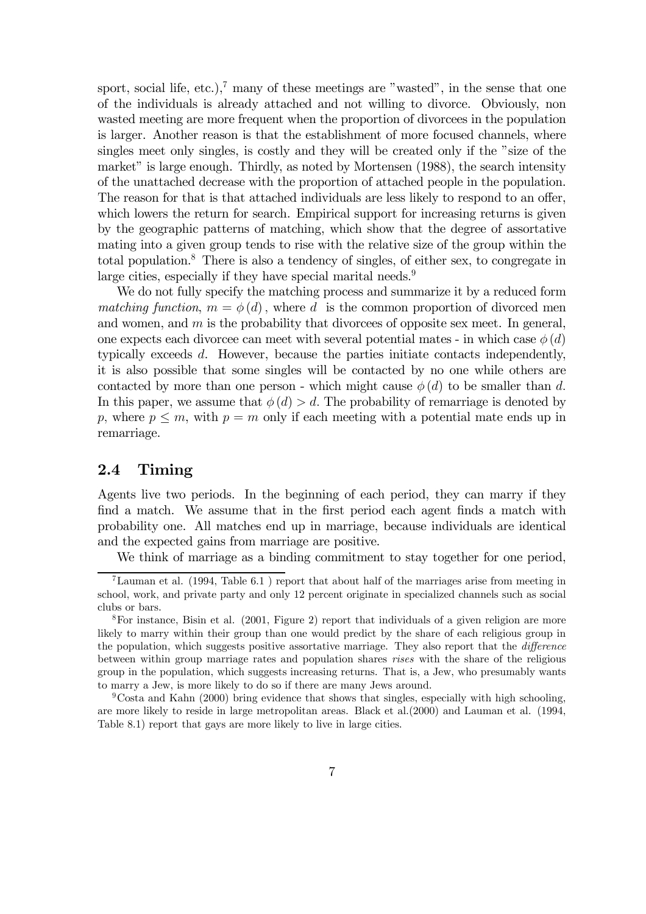sport, social life, etc.),<sup>7</sup> many of these meetings are "wasted", in the sense that one of the individuals is already attached and not willing to divorce. Obviously, non wasted meeting are more frequent when the proportion of divorcees in the population is larger. Another reason is that the establishment of more focused channels, where singles meet only singles, is costly and they will be created only if the "size of the market" is large enough. Thirdly, as noted by Mortensen (1988), the search intensity of the unattached decrease with the proportion of attached people in the population. The reason for that is that attached individuals are less likely to respond to an offer, which lowers the return for search. Empirical support for increasing returns is given by the geographic patterns of matching, which show that the degree of assortative mating into a given group tends to rise with the relative size of the group within the total population.8 There is also a tendency of singles, of either sex, to congregate in large cities, especially if they have special marital needs.<sup>9</sup>

We do not fully specify the matching process and summarize it by a reduced form matching function,  $m = \phi(d)$ , where d is the common proportion of divorced men and women, and  $m$  is the probability that divorcees of opposite sex meet. In general, one expects each divorcee can meet with several potential mates - in which case  $\phi(d)$ typically exceeds d. However, because the parties initiate contacts independently, it is also possible that some singles will be contacted by no one while others are contacted by more than one person - which might cause  $\phi(d)$  to be smaller than d. In this paper, we assume that  $\phi(d) > d$ . The probability of remarriage is denoted by p, where  $p \leq m$ , with  $p = m$  only if each meeting with a potential mate ends up in remarriage.

### 2.4 Timing

Agents live two periods. In the beginning of each period, they can marry if they find a match. We assume that in the first period each agent finds a match with probability one. All matches end up in marriage, because individuals are identical and the expected gains from marriage are positive.

We think of marriage as a binding commitment to stay together for one period,

<sup>7</sup>Lauman et al. (1994, Table 6.1 ) report that about half of the marriages arise from meeting in school, work, and private party and only 12 percent originate in specialized channels such as social clubs or bars.

<sup>8</sup>For instance, Bisin et al. (2001, Figure 2) report that individuals of a given religion are more likely to marry within their group than one would predict by the share of each religious group in the population, which suggests positive assortative marriage. They also report that the difference between within group marriage rates and population shares rises with the share of the religious group in the population, which suggests increasing returns. That is, a Jew, who presumably wants to marry a Jew, is more likely to do so if there are many Jews around.

<sup>9</sup>Costa and Kahn (2000) bring evidence that shows that singles, especially with high schooling, are more likely to reside in large metropolitan areas. Black et al.(2000) and Lauman et al. (1994, Table 8.1) report that gays are more likely to live in large cities.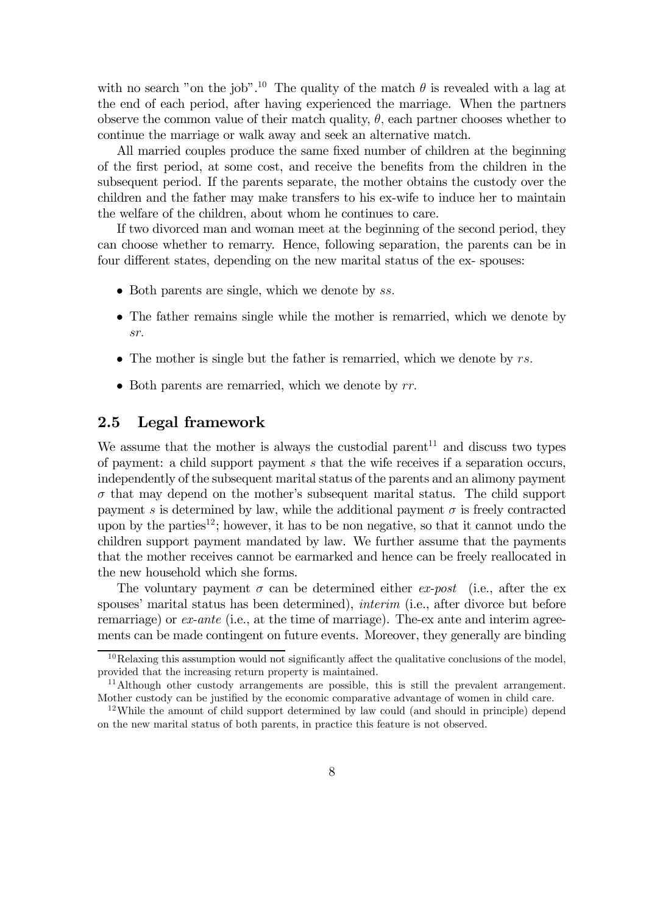with no search "on the job".<sup>10</sup> The quality of the match  $\theta$  is revealed with a lag at the end of each period, after having experienced the marriage. When the partners observe the common value of their match quality,  $\theta$ , each partner chooses whether to continue the marriage or walk away and seek an alternative match.

All married couples produce the same fixed number of children at the beginning of the first period, at some cost, and receive the benefits from the children in the subsequent period. If the parents separate, the mother obtains the custody over the children and the father may make transfers to his ex-wife to induce her to maintain the welfare of the children, about whom he continues to care.

If two divorced man and woman meet at the beginning of the second period, they can choose whether to remarry. Hence, following separation, the parents can be in four different states, depending on the new marital status of the ex- spouses:

- Both parents are single, which we denote by  $ss$ .
- The father remains single while the mother is remarried, which we denote by sr.
- The mother is single but the father is remarried, which we denote by  $rs$ .
- Both parents are remarried, which we denote by  $rr$ .

### 2.5 Legal framework

We assume that the mother is always the custodial parent<sup>11</sup> and discuss two types of payment: a child support payment s that the wife receives if a separation occurs, independently of the subsequent marital status of the parents and an alimony payment  $\sigma$  that may depend on the mother's subsequent marital status. The child support payment s is determined by law, while the additional payment  $\sigma$  is freely contracted upon by the parties<sup>12</sup>; however, it has to be non negative, so that it cannot undo the children support payment mandated by law. We further assume that the payments that the mother receives cannot be earmarked and hence can be freely reallocated in the new household which she forms.

The voluntary payment  $\sigma$  can be determined either *ex-post* (i.e., after the exspouses' marital status has been determined), interim (i.e., after divorce but before remarriage) or ex-ante (i.e., at the time of marriage). The-ex ante and interim agreements can be made contingent on future events. Moreover, they generally are binding

 $10$ Relaxing this assumption would not significantly affect the qualitative conclusions of the model, provided that the increasing return property is maintained.

<sup>&</sup>lt;sup>11</sup>Although other custody arrangements are possible, this is still the prevalent arrangement. Mother custody can be justified by the economic comparative advantage of women in child care.

<sup>&</sup>lt;sup>12</sup>While the amount of child support determined by law could (and should in principle) depend on the new marital status of both parents, in practice this feature is not observed.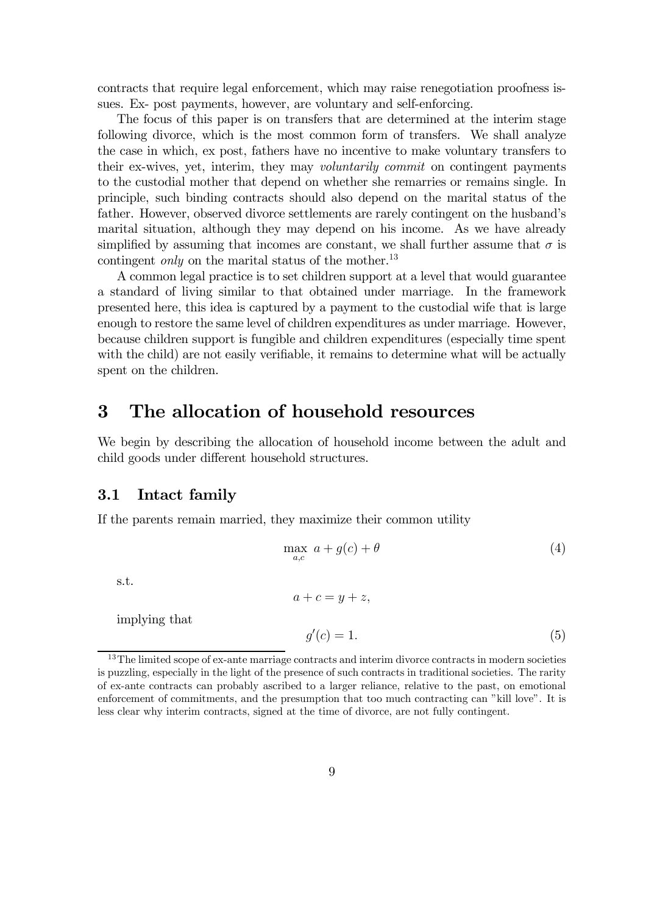contracts that require legal enforcement, which may raise renegotiation proofness issues. Ex- post payments, however, are voluntary and self-enforcing.

The focus of this paper is on transfers that are determined at the interim stage following divorce, which is the most common form of transfers. We shall analyze the case in which, ex post, fathers have no incentive to make voluntary transfers to their ex-wives, yet, interim, they may voluntarily commit on contingent payments to the custodial mother that depend on whether she remarries or remains single. In principle, such binding contracts should also depend on the marital status of the father. However, observed divorce settlements are rarely contingent on the husband's marital situation, although they may depend on his income. As we have already simplified by assuming that incomes are constant, we shall further assume that  $\sigma$  is contingent *only* on the marital status of the mother.<sup>13</sup>

A common legal practice is to set children support at a level that would guarantee a standard of living similar to that obtained under marriage. In the framework presented here, this idea is captured by a payment to the custodial wife that is large enough to restore the same level of children expenditures as under marriage. However, because children support is fungible and children expenditures (especially time spent with the child) are not easily verifiable, it remains to determine what will be actually spent on the children.

### 3 The allocation of household resources

We begin by describing the allocation of household income between the adult and child goods under different household structures.

### 3.1 Intact family

If the parents remain married, they maximize their common utility

$$
\max_{a,c} a + g(c) + \theta \tag{4}
$$

s.t.

$$
a + c = y + z,
$$

implying that

$$
g'(c) = 1.\t\t(5)
$$

<sup>&</sup>lt;sup>13</sup>The limited scope of ex-ante marriage contracts and interim divorce contracts in modern societies is puzzling, especially in the light of the presence of such contracts in traditional societies. The rarity of ex-ante contracts can probably ascribed to a larger reliance, relative to the past, on emotional enforcement of commitments, and the presumption that too much contracting can "kill love". It is less clear why interim contracts, signed at the time of divorce, are not fully contingent.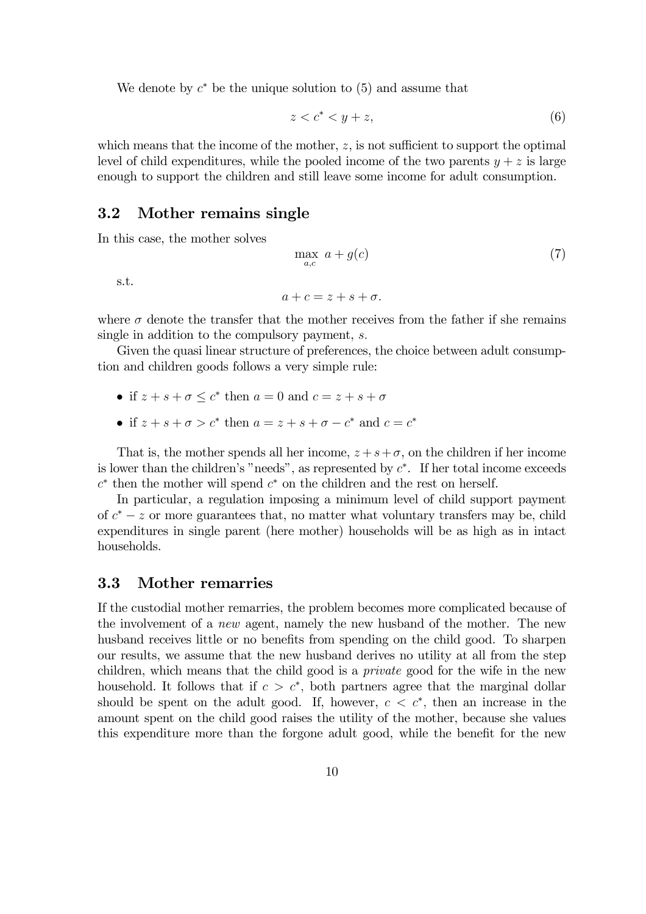We denote by  $c^*$  be the unique solution to (5) and assume that

$$
z < c^* < y + z,\tag{6}
$$

 $\max_{a,c} a + g(c)$  (7)

which means that the income of the mother,  $z$ , is not sufficient to support the optimal level of child expenditures, while the pooled income of the two parents  $y + z$  is large enough to support the children and still leave some income for adult consumption.

#### 3.2 Mother remains single

In this case, the mother solves

s.t.

$$
a + c = z + s + \sigma.
$$

where  $\sigma$  denote the transfer that the mother receives from the father if she remains single in addition to the compulsory payment, s.

Given the quasi linear structure of preferences, the choice between adult consumption and children goods follows a very simple rule:

- if  $z + s + \sigma \leq c^*$  then  $a = 0$  and  $c = z + s + \sigma$
- if  $z + s + \sigma > c^*$  then  $a = z + s + \sigma c^*$  and  $c = c^*$

That is, the mother spends all her income,  $z + s + \sigma$ , on the children if her income is lower than the children's "needs", as represented by  $c^*$ . If her total income exceeds  $c<sup>*</sup>$  then the mother will spend  $c<sup>*</sup>$  on the children and the rest on herself.

In particular, a regulation imposing a minimum level of child support payment of  $c^*$  – z or more guarantees that, no matter what voluntary transfers may be, child expenditures in single parent (here mother) households will be as high as in intact households.

#### 3.3 Mother remarries

If the custodial mother remarries, the problem becomes more complicated because of the involvement of a new agent, namely the new husband of the mother. The new husband receives little or no benefits from spending on the child good. To sharpen our results, we assume that the new husband derives no utility at all from the step children, which means that the child good is a private good for the wife in the new household. It follows that if  $c > c^*$ , both partners agree that the marginal dollar should be spent on the adult good. If, however,  $c < c^*$ , then an increase in the amount spent on the child good raises the utility of the mother, because she values this expenditure more than the forgone adult good, while the benefit for the new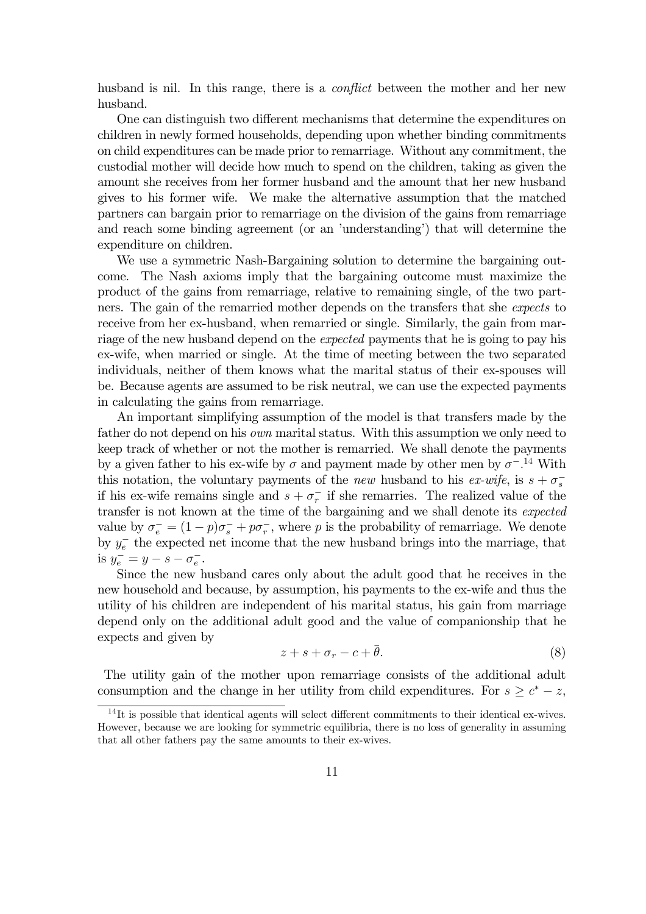husband is nil. In this range, there is a *conflict* between the mother and her new husband.

One can distinguish two different mechanisms that determine the expenditures on children in newly formed households, depending upon whether binding commitments on child expenditures can be made prior to remarriage. Without any commitment, the custodial mother will decide how much to spend on the children, taking as given the amount she receives from her former husband and the amount that her new husband gives to his former wife. We make the alternative assumption that the matched partners can bargain prior to remarriage on the division of the gains from remarriage and reach some binding agreement (or an 'understanding') that will determine the expenditure on children.

We use a symmetric Nash-Bargaining solution to determine the bargaining outcome. The Nash axioms imply that the bargaining outcome must maximize the product of the gains from remarriage, relative to remaining single, of the two partners. The gain of the remarried mother depends on the transfers that she expects to receive from her ex-husband, when remarried or single. Similarly, the gain from marriage of the new husband depend on the expected payments that he is going to pay his ex-wife, when married or single. At the time of meeting between the two separated individuals, neither of them knows what the marital status of their ex-spouses will be. Because agents are assumed to be risk neutral, we can use the expected payments in calculating the gains from remarriage.

An important simplifying assumption of the model is that transfers made by the father do not depend on his own marital status. With this assumption we only need to keep track of whether or not the mother is remarried. We shall denote the payments by a given father to his ex-wife by  $\sigma$  and payment made by other men by  $\sigma^{-14}$  With this notation, the voluntary payments of the *new* husband to his ex-wife, is  $s + \sigma_s^$ if his ex-wife remains single and  $s + \sigma_r^-$  if she remarries. The realized value of the transfer is not known at the time of the bargaining and we shall denote its expected value by  $\sigma_e^- = (1 - p)\sigma_s^- + p\sigma_r^-$ , where p is the probability of remarriage. We denote by  $y_e^-$  the expected net income that the new husband brings into the marriage, that is  $y_e^- = y - s - \sigma_e^-$ .

Since the new husband cares only about the adult good that he receives in the new household and because, by assumption, his payments to the ex-wife and thus the utility of his children are independent of his marital status, his gain from marriage depend only on the additional adult good and the value of companionship that he expects and given by

$$
z + s + \sigma_r - c + \bar{\theta}.\tag{8}
$$

The utility gain of the mother upon remarriage consists of the additional adult consumption and the change in her utility from child expenditures. For  $s \geq c^* - z$ ,

 $14$ It is possible that identical agents will select different commitments to their identical ex-wives. However, because we are looking for symmetric equilibria, there is no loss of generality in assuming that all other fathers pay the same amounts to their ex-wives.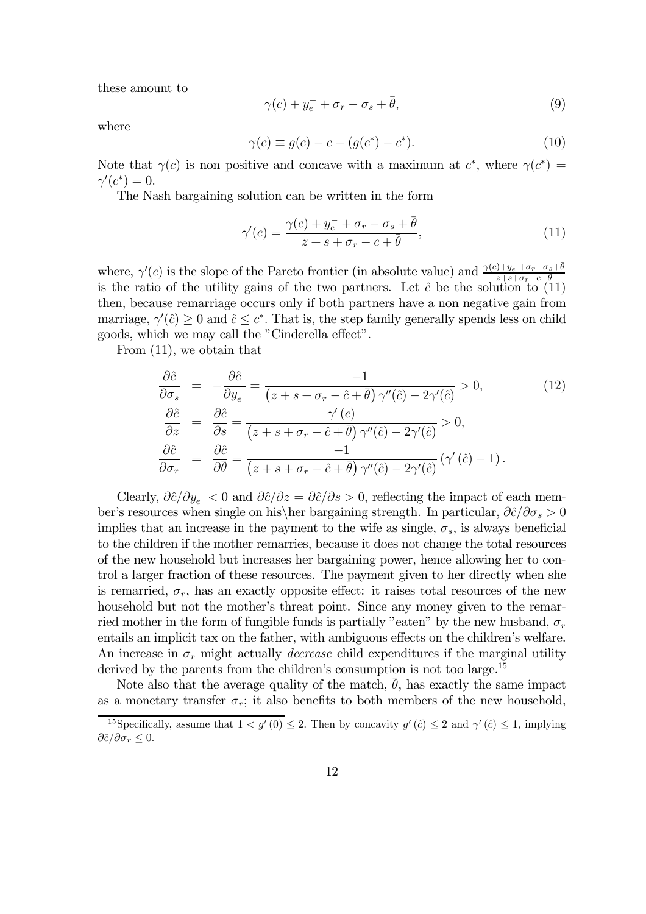these amount to

$$
\gamma(c) + y_e^- + \sigma_r - \sigma_s + \bar{\theta}, \qquad (9)
$$

where

$$
\gamma(c) \equiv g(c) - c - (g(c^*) - c^*). \tag{10}
$$

Note that  $\gamma(c)$  is non positive and concave with a maximum at  $c^*$ , where  $\gamma(c^*)$  =  $\gamma'(c^*)=0.$ 

The Nash bargaining solution can be written in the form

$$
\gamma'(c) = \frac{\gamma(c) + y_e^- + \sigma_r - \sigma_s + \bar{\theta}}{z + s + \sigma_r - c + \bar{\theta}},\tag{11}
$$

where,  $\gamma'(c)$  is the slope of the Pareto frontier (in absolute value) and  $\frac{\gamma(c)+y_e^-+ \sigma_r-\sigma_s+\bar{\theta}}{z+s+\sigma_r-\sigma_s+\bar{\theta}}$  $\overline{z+s+\sigma_r-c+\theta}$ is the ratio of the utility gains of the two partners. Let  $\hat{c}$  be the solution to (11) then, because remarriage occurs only if both partners have a non negative gain from marriage,  $\gamma'(\hat{c}) \ge 0$  and  $\hat{c} \le c^*$ . That is, the step family generally spends less on child goods, which we may call the "Cinderella effect".

From (11), we obtain that

$$
\frac{\partial \hat{c}}{\partial \sigma_s} = -\frac{\partial \hat{c}}{\partial y_e} = \frac{-1}{(z + s + \sigma_r - \hat{c} + \bar{\theta}) \gamma''(\hat{c}) - 2\gamma'(\hat{c})} > 0,
$$
(12)  

$$
\frac{\partial \hat{c}}{\partial z} = \frac{\partial \hat{c}}{\partial s} = \frac{\gamma'(c)}{(z + s + \sigma_r - \hat{c} + \bar{\theta}) \gamma''(\hat{c}) - 2\gamma'(\hat{c})} > 0,
$$

$$
\frac{\partial \hat{c}}{\partial \sigma_r} = \frac{\partial \hat{c}}{\partial \bar{\theta}} = \frac{-1}{(z + s + \sigma_r - \hat{c} + \bar{\theta}) \gamma''(\hat{c}) - 2\gamma'(\hat{c})} (\gamma'(\hat{c}) - 1).
$$

Clearly,  $\partial \hat{c}/\partial y_e^- < 0$  and  $\partial \hat{c}/\partial z = \partial \hat{c}/\partial s > 0$ , reflecting the impact of each member's resources when single on his\her bargaining strength. In particular,  $\partial \hat{c}/\partial \sigma_s > 0$ implies that an increase in the payment to the wife as single,  $\sigma_s$ , is always beneficial to the children if the mother remarries, because it does not change the total resources of the new household but increases her bargaining power, hence allowing her to control a larger fraction of these resources. The payment given to her directly when she is remarried,  $\sigma_r$ , has an exactly opposite effect: it raises total resources of the new household but not the mother's threat point. Since any money given to the remarried mother in the form of fungible funds is partially "eaten" by the new husband,  $\sigma_r$ entails an implicit tax on the father, with ambiguous effects on the children's welfare. An increase in  $\sigma_r$  might actually *decrease* child expenditures if the marginal utility derived by the parents from the children's consumption is not too large.<sup>15</sup>

Note also that the average quality of the match,  $\theta$ , has exactly the same impact as a monetary transfer  $\sigma_r$ ; it also benefits to both members of the new household,

<sup>&</sup>lt;sup>15</sup>Specifically, assume that  $1 < g'(0) \le 2$ . Then by concavity  $g'(\hat{c}) \le 2$  and  $\gamma'(\hat{c}) \le 1$ , implying  $\partial \hat{c}/\partial \sigma_r \leq 0.$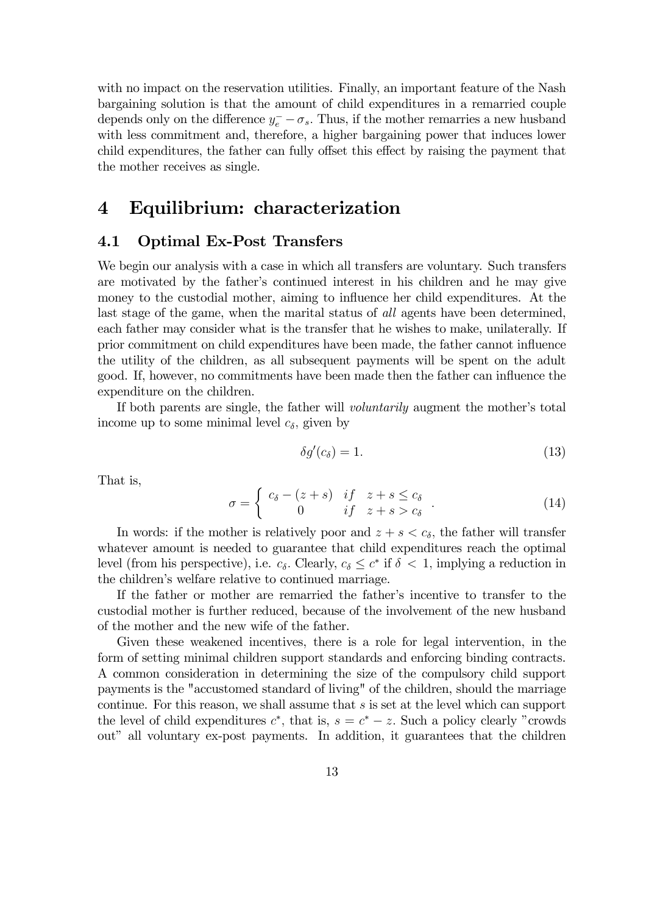with no impact on the reservation utilities. Finally, an important feature of the Nash bargaining solution is that the amount of child expenditures in a remarried couple depends only on the difference  $y_e^- - \sigma_s$ . Thus, if the mother remarries a new husband with less commitment and, therefore, a higher bargaining power that induces lower child expenditures, the father can fully offset this effect by raising the payment that the mother receives as single.

## 4 Equilibrium: characterization

#### 4.1 Optimal Ex-Post Transfers

We begin our analysis with a case in which all transfers are voluntary. Such transfers are motivated by the father's continued interest in his children and he may give money to the custodial mother, aiming to influence her child expenditures. At the last stage of the game, when the marital status of all agents have been determined, each father may consider what is the transfer that he wishes to make, unilaterally. If prior commitment on child expenditures have been made, the father cannot influence the utility of the children, as all subsequent payments will be spent on the adult good. If, however, no commitments have been made then the father can influence the expenditure on the children.

If both parents are single, the father will voluntarily augment the mother's total income up to some minimal level  $c_{\delta}$ , given by

$$
\delta g'(c_{\delta}) = 1. \tag{13}
$$

That is,

$$
\sigma = \begin{cases}\n c_{\delta} - (z + s) & \text{if } z + s \leq c_{\delta} \\
 0 & \text{if } z + s > c_{\delta}\n\end{cases}.
$$
\n(14)

In words: if the mother is relatively poor and  $z + s < c_{\delta}$ , the father will transfer whatever amount is needed to guarantee that child expenditures reach the optimal level (from his perspective), i.e.  $c_{\delta}$ . Clearly,  $c_{\delta} \leq c^*$  if  $\delta < 1$ , implying a reduction in the children's welfare relative to continued marriage.

If the father or mother are remarried the father's incentive to transfer to the custodial mother is further reduced, because of the involvement of the new husband of the mother and the new wife of the father.

Given these weakened incentives, there is a role for legal intervention, in the form of setting minimal children support standards and enforcing binding contracts. A common consideration in determining the size of the compulsory child support payments is the "accustomed standard of living" of the children, should the marriage continue. For this reason, we shall assume that s is set at the level which can support the level of child expenditures  $c^*$ , that is,  $s = c^* - z$ . Such a policy clearly "crowds" out" all voluntary ex-post payments. In addition, it guarantees that the children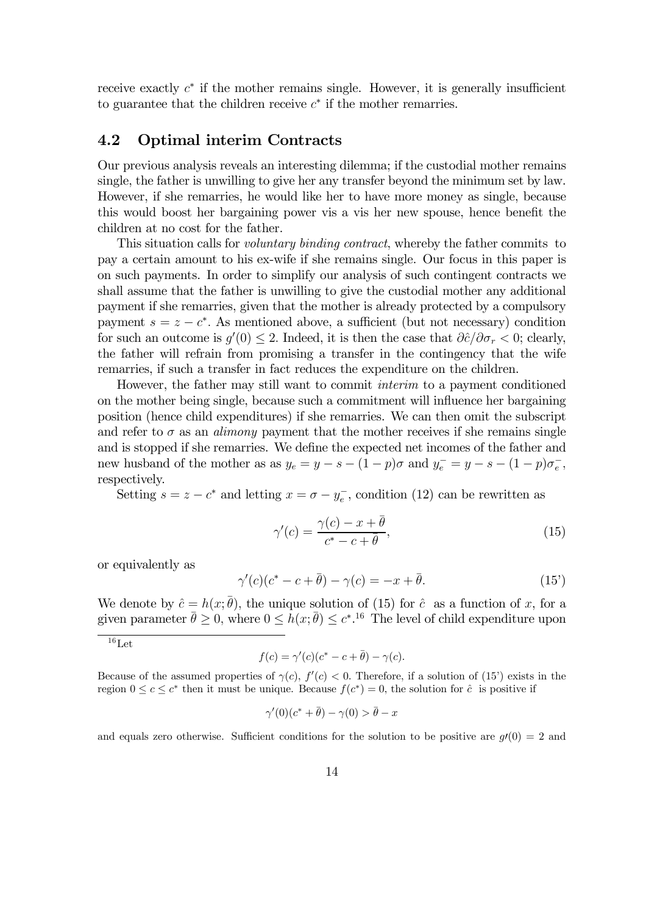receive exactly  $c^*$  if the mother remains single. However, it is generally insufficient to guarantee that the children receive  $c^*$  if the mother remarries.

### 4.2 Optimal interim Contracts

Our previous analysis reveals an interesting dilemma; if the custodial mother remains single, the father is unwilling to give her any transfer beyond the minimum set by law. However, if she remarries, he would like her to have more money as single, because this would boost her bargaining power vis a vis her new spouse, hence benefit the children at no cost for the father.

This situation calls for voluntary binding contract, whereby the father commits to pay a certain amount to his ex-wife if she remains single. Our focus in this paper is on such payments. In order to simplify our analysis of such contingent contracts we shall assume that the father is unwilling to give the custodial mother any additional payment if she remarries, given that the mother is already protected by a compulsory payment  $s = z - c^*$ . As mentioned above, a sufficient (but not necessary) condition for such an outcome is  $g'(0) \leq 2$ . Indeed, it is then the case that  $\frac{\partial \hat{c}}{\partial \sigma_r} < 0$ ; clearly, the father will refrain from promising a transfer in the contingency that the wife remarries, if such a transfer in fact reduces the expenditure on the children.

However, the father may still want to commit interim to a payment conditioned on the mother being single, because such a commitment will influence her bargaining position (hence child expenditures) if she remarries. We can then omit the subscript and refer to  $\sigma$  as an *alimony* payment that the mother receives if she remains single and is stopped if she remarries. We define the expected net incomes of the father and new husband of the mother as as  $y_e = y - s - (1 - p)\sigma$  and  $y_e^- = y - s - (1 - p)\sigma_e^-,$ respectively.

Setting  $s = z - c^*$  and letting  $x = \sigma - y_e^-$ , condition (12) can be rewritten as

$$
\gamma'(c) = \frac{\gamma(c) - x + \bar{\theta}}{c^* - c + \bar{\theta}},\tag{15}
$$

or equivalently as

$$
\gamma'(c)(c^* - c + \bar{\theta}) - \gamma(c) = -x + \bar{\theta}.\tag{15'}
$$

We denote by  $\hat{c} = h(x; \bar{\theta})$ , the unique solution of (15) for  $\hat{c}$  as a function of x, for a given parameter  $\bar{\theta} \geq 0$ , where  $0 \leq h(x;\bar{\theta}) \leq c^*$ .<sup>16</sup> The level of child expenditure upon

 $f(c) = \gamma'(c)(c^* - c + \bar{\theta}) - \gamma(c).$ 

$$
\gamma'(0)(c^* + \bar{\theta}) - \gamma(0) > \bar{\theta} - x
$$

and equals zero otherwise. Sufficient conditions for the solution to be positive are  $q(0) = 2$  and

 $16$ Let

Because of the assumed properties of  $\gamma(c)$ ,  $f'(c) < 0$ . Therefore, if a solution of (15') exists in the region  $0 \leq c \leq c^*$  then it must be unique. Because  $f(c^*)=0$ , the solution for  $\hat{c}$  is positive if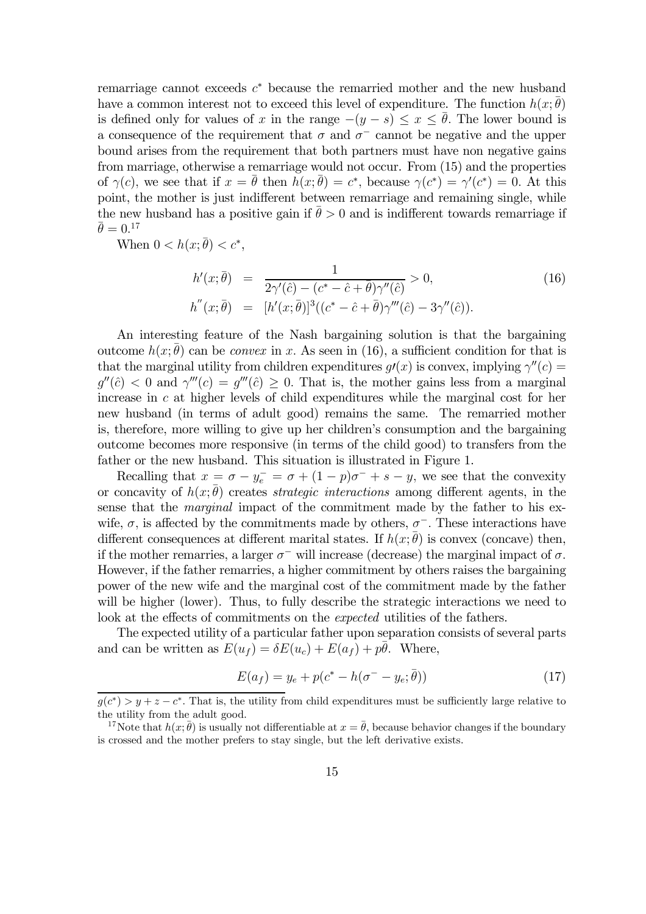remarriage cannot exceeds  $c^*$  because the remarried mother and the new husband have a common interest not to exceed this level of expenditure. The function  $h(x; \bar{\theta})$ is defined only for values of x in the range  $-(y - s) \le x \le \bar{\theta}$ . The lower bound is a consequence of the requirement that  $\sigma$  and  $\sigma^-$  cannot be negative and the upper bound arises from the requirement that both partners must have non negative gains from marriage, otherwise a remarriage would not occur. From (15) and the properties of  $\gamma(c)$ , we see that if  $x = \bar{\theta}$  then  $h(x; \bar{\theta}) = c^*$ , because  $\gamma(c^*) = \gamma'(c^*) = 0$ . At this point, the mother is just indifferent between remarriage and remaining single, while the new husband has a positive gain if  $\bar{\theta} > 0$  and is indifferent towards remarriage if  $\bar{\theta}=0.17$ 

When  $0 < h(x; \overline{\theta}) < c^*$ ,

$$
h'(x; \bar{\theta}) = \frac{1}{2\gamma'(\hat{c}) - (c^* - \hat{c} + \bar{\theta})\gamma''(\hat{c})} > 0,
$$
\n
$$
h''(x; \bar{\theta}) = [h'(x; \bar{\theta})]^3((c^* - \hat{c} + \bar{\theta})\gamma'''(\hat{c}) - 3\gamma''(\hat{c})).
$$
\n(16)

An interesting feature of the Nash bargaining solution is that the bargaining outcome  $h(x; \theta)$  can be *convex* in x. As seen in (16), a sufficient condition for that is that the marginal utility from children expenditures  $q\prime(x)$  is convex, implying  $\gamma''(c)$  =  $g''(\hat{c})$  < 0 and  $\gamma'''(c) = g'''(\hat{c}) \ge 0$ . That is, the mother gains less from a marginal increase in  $c$  at higher levels of child expenditures while the marginal cost for her new husband (in terms of adult good) remains the same. The remarried mother is, therefore, more willing to give up her children's consumption and the bargaining outcome becomes more responsive (in terms of the child good) to transfers from the father or the new husband. This situation is illustrated in Figure 1.

Recalling that  $x = \sigma - y_e^- = \sigma + (1 - p)\sigma^- + s - y$ , we see that the convexity or concavity of  $h(x; \theta)$  creates *strategic interactions* among different agents, in the sense that the marginal impact of the commitment made by the father to his exwife,  $\sigma$ , is affected by the commitments made by others,  $\sigma$ <sup>-</sup>. These interactions have different consequences at different marital states. If  $h(x; \theta)$  is convex (concave) then, if the mother remarries, a larger  $\sigma^-$  will increase (decrease) the marginal impact of  $\sigma$ . However, if the father remarries, a higher commitment by others raises the bargaining power of the new wife and the marginal cost of the commitment made by the father will be higher (lower). Thus, to fully describe the strategic interactions we need to look at the effects of commitments on the *expected* utilities of the fathers.

The expected utility of a particular father upon separation consists of several parts and can be written as  $E(u_f) = \delta E(u_c) + E(a_f) + p\theta$ . Where,

$$
E(a_f) = y_e + p(c^* - h(\sigma^- - y_e; \bar{\theta}))
$$
\n(17)

 $g(c^*) > y + z - c^*$ . That is, the utility from child expenditures must be sufficiently large relative to the utility from the adult good.

<sup>&</sup>lt;sup>17</sup>Note that  $h(x; \bar{\theta})$  is usually not differentiable at  $x = \bar{\theta}$ , because behavior changes if the boundary is crossed and the mother prefers to stay single, but the left derivative exists.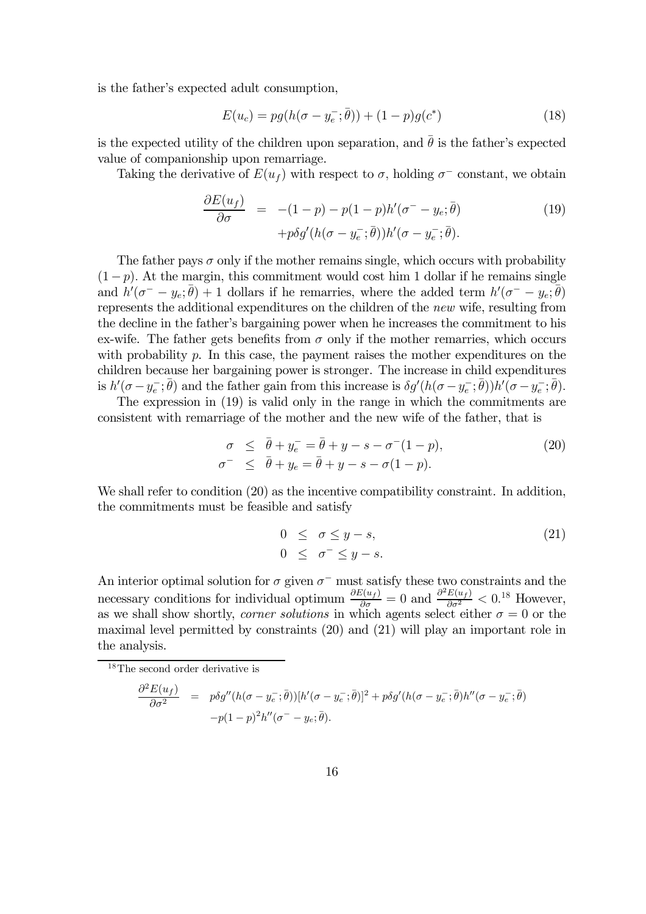is the father's expected adult consumption,

$$
E(u_c) = pg(h(\sigma - y_e^-; \bar{\theta})) + (1 - p)g(c^*)
$$
\n(18)

is the expected utility of the children upon separation, and  $\theta$  is the father's expected value of companionship upon remarriage.

Taking the derivative of  $E(u_f)$  with respect to  $\sigma$ , holding  $\sigma^-$  constant, we obtain

$$
\frac{\partial E(u_f)}{\partial \sigma} = -(1-p) - p(1-p)h'(\sigma^- - y_e; \bar{\theta}) \n+ p\delta g'(h(\sigma - y_e^-; \bar{\theta}))h'(\sigma - y_e^-; \bar{\theta}).
$$
\n(19)

The father pays  $\sigma$  only if the mother remains single, which occurs with probability  $(1-p)$ . At the margin, this commitment would cost him 1 dollar if he remains single and  $h'(\sigma^- - y_e; \bar{\theta}) + 1$  dollars if he remarries, where the added term  $h'(\sigma^- - y_e; \bar{\theta})$ represents the additional expenditures on the children of the new wife, resulting from the decline in the father's bargaining power when he increases the commitment to his ex-wife. The father gets benefits from  $\sigma$  only if the mother remarries, which occurs with probability  $p$ . In this case, the payment raises the mother expenditures on the children because her bargaining power is stronger. The increase in child expenditures is  $h'(\sigma - y_e^-; \bar{\theta})$  and the father gain from this increase is  $\delta g'(h(\sigma - y_e^-; \bar{\theta}))h'(\sigma - y_e^-; \bar{\theta})$ .

The expression in (19) is valid only in the range in which the commitments are consistent with remarriage of the mother and the new wife of the father, that is

$$
\begin{array}{rcl}\n\sigma & \leq & \bar{\theta} + y_e^- = \bar{\theta} + y - s - \sigma^-(1 - p), \\
\sigma^- & \leq & \bar{\theta} + y_e = \bar{\theta} + y - s - \sigma(1 - p).\n\end{array} \tag{20}
$$

We shall refer to condition  $(20)$  as the incentive compatibility constraint. In addition, the commitments must be feasible and satisfy

$$
0 \leq \sigma \leq y - s,
$$
  
\n
$$
0 \leq \sigma^{-} \leq y - s.
$$
\n(21)

An interior optimal solution for  $\sigma$  given  $\sigma^-$  must satisfy these two constraints and the necessary conditions for individual optimum  $\frac{\partial E(u_f)}{\partial \sigma} = 0$  and  $\frac{\partial^2 E(u_f)}{\partial \sigma^2} < 0.18$  However, as we shall show shortly, *corner solutions* in which agents select either  $\sigma = 0$  or the maximal level permitted by constraints (20) and (21) will play an important role in the analysis.

<sup>18</sup>The second order derivative is

 $\alpha$ 

$$
\frac{\partial^2 E(u_f)}{\partial \sigma^2} = p\delta g''(h(\sigma - y_e^-;\bar{\theta}))[h'(\sigma - y_e^-;\bar{\theta})]^2 + p\delta g'(h(\sigma - y_e^-;\bar{\theta})h''(\sigma - y_e^-;\bar{\theta})
$$

$$
-p(1-p)^2h''(\sigma^- - y_e;\bar{\theta}).
$$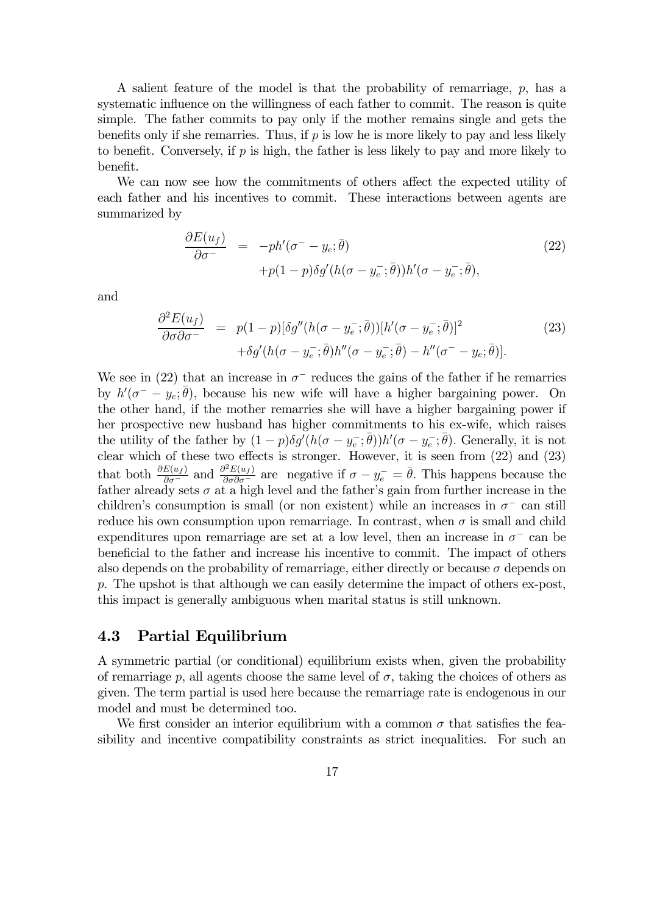A salient feature of the model is that the probability of remarriage, p, has a systematic influence on the willingness of each father to commit. The reason is quite simple. The father commits to pay only if the mother remains single and gets the benefits only if she remarries. Thus, if  $p$  is low he is more likely to pay and less likely to benefit. Conversely, if  $p$  is high, the father is less likely to pay and more likely to benefit.

We can now see how the commitments of others affect the expected utility of each father and his incentives to commit. These interactions between agents are summarized by

$$
\frac{\partial E(u_f)}{\partial \sigma^-} = -ph'(\sigma^- - y_e; \bar{\theta}) \n+ p(1-p)\delta g'(h(\sigma - y_e^-; \bar{\theta}))h'(\sigma - y_e^-; \bar{\theta}),
$$
\n(22)

and

$$
\frac{\partial^2 E(u_f)}{\partial \sigma \partial \sigma^-} = p(1-p)[\delta g''(h(\sigma - y_e^-;\bar{\theta}))[h'(\sigma - y_e^-;\bar{\theta})]^2 \n+ \delta g'(h(\sigma - y_e^-;\bar{\theta})h''(\sigma - y_e^-;\bar{\theta}) - h''(\sigma^- - y_e;\bar{\theta})].
$$
\n(23)

We see in (22) that an increase in  $\sigma^-$  reduces the gains of the father if he remarries by  $h'(\sigma^- - y_e; \bar{\theta})$ , because his new wife will have a higher bargaining power. On the other hand, if the mother remarries she will have a higher bargaining power if her prospective new husband has higher commitments to his ex-wife, which raises the utility of the father by  $(1-p)\delta g'(h(\sigma-y_e^-;\bar{\theta}))h'(\sigma-y_e^-;\bar{\theta})$ . Generally, it is not clear which of these two effects is stronger. However, it is seen from (22) and (23) that both  $\frac{\partial E(u_f)}{\partial \sigma}$  and  $\frac{\partial^2 E(u_f)}{\partial \sigma \partial \sigma}$  are negative if  $\sigma - y_e^- = \bar{\theta}$ . This happens because the father already sets  $\sigma$  at a high level and the father's gain from further increase in the children's consumption is small (or non existent) while an increases in  $\sigma^-$  can still reduce his own consumption upon remarriage. In contrast, when  $\sigma$  is small and child expenditures upon remarriage are set at a low level, then an increase in  $\sigma^-$  can be beneficial to the father and increase his incentive to commit. The impact of others also depends on the probability of remarriage, either directly or because  $\sigma$  depends on p. The upshot is that although we can easily determine the impact of others ex-post, this impact is generally ambiguous when marital status is still unknown.

#### 4.3 Partial Equilibrium

A symmetric partial (or conditional) equilibrium exists when, given the probability of remarriage p, all agents choose the same level of  $\sigma$ , taking the choices of others as given. The term partial is used here because the remarriage rate is endogenous in our model and must be determined too.

We first consider an interior equilibrium with a common  $\sigma$  that satisfies the feasibility and incentive compatibility constraints as strict inequalities. For such an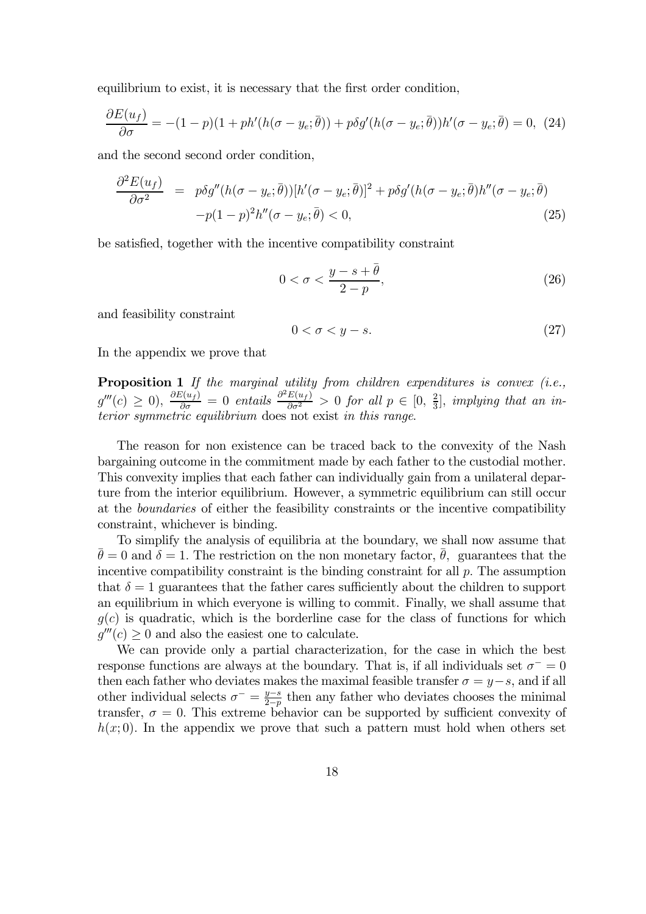equilibrium to exist, it is necessary that the first order condition,

$$
\frac{\partial E(u_f)}{\partial \sigma} = -(1-p)(1+ph'(h(\sigma - y_e; \bar{\theta})) + p\delta g'(h(\sigma - y_e; \bar{\theta}))h'(\sigma - y_e; \bar{\theta}) = 0, (24)
$$

and the second second order condition,

$$
\frac{\partial^2 E(u_f)}{\partial \sigma^2} = p\delta g''(h(\sigma - y_e; \bar{\theta}))[h'(\sigma - y_e; \bar{\theta})]^2 + p\delta g'(h(\sigma - y_e; \bar{\theta})h''(\sigma - y_e; \bar{\theta})
$$

$$
-p(1-p)^2h''(\sigma - y_e; \bar{\theta}) < 0,
$$
(25)

be satisfied, together with the incentive compatibility constraint

$$
0 < \sigma < \frac{y - s + \bar{\theta}}{2 - p},\tag{26}
$$

and feasibility constraint

$$
0 < \sigma < y - s. \tag{27}
$$

In the appendix we prove that

**Proposition 1** If the marginal utility from children expenditures is convex (i.e.,  $g'''(c) \ge 0$ ,  $\frac{\partial E(u_f)}{\partial \sigma} = 0$  entails  $\frac{\partial^2 E(u_f)}{\partial \sigma^2} > 0$  for all  $p \in [0, \frac{2}{3}]$ , implying that an interior symmetric equilibrium does not exist in this range.

The reason for non existence can be traced back to the convexity of the Nash bargaining outcome in the commitment made by each father to the custodial mother. This convexity implies that each father can individually gain from a unilateral departure from the interior equilibrium. However, a symmetric equilibrium can still occur at the boundaries of either the feasibility constraints or the incentive compatibility constraint, whichever is binding.

To simplify the analysis of equilibria at the boundary, we shall now assume that  $\bar{\theta} = 0$  and  $\delta = 1$ . The restriction on the non monetary factor,  $\bar{\theta}$ , guarantees that the incentive compatibility constraint is the binding constraint for all  $p$ . The assumption that  $\delta = 1$  guarantees that the father cares sufficiently about the children to support an equilibrium in which everyone is willing to commit. Finally, we shall assume that  $g(c)$  is quadratic, which is the borderline case for the class of functions for which  $g'''(c) \geq 0$  and also the easiest one to calculate.

We can provide only a partial characterization, for the case in which the best response functions are always at the boundary. That is, if all individuals set  $\sigma^- = 0$ then each father who deviates makes the maximal feasible transfer  $\sigma = y - s$ , and if all other individual selects  $\sigma^{-} = \frac{y-s}{2-p}$  then any father who deviates chooses the minimal transfer,  $\sigma = 0$ . This extreme behavior can be supported by sufficient convexity of  $h(x; 0)$ . In the appendix we prove that such a pattern must hold when others set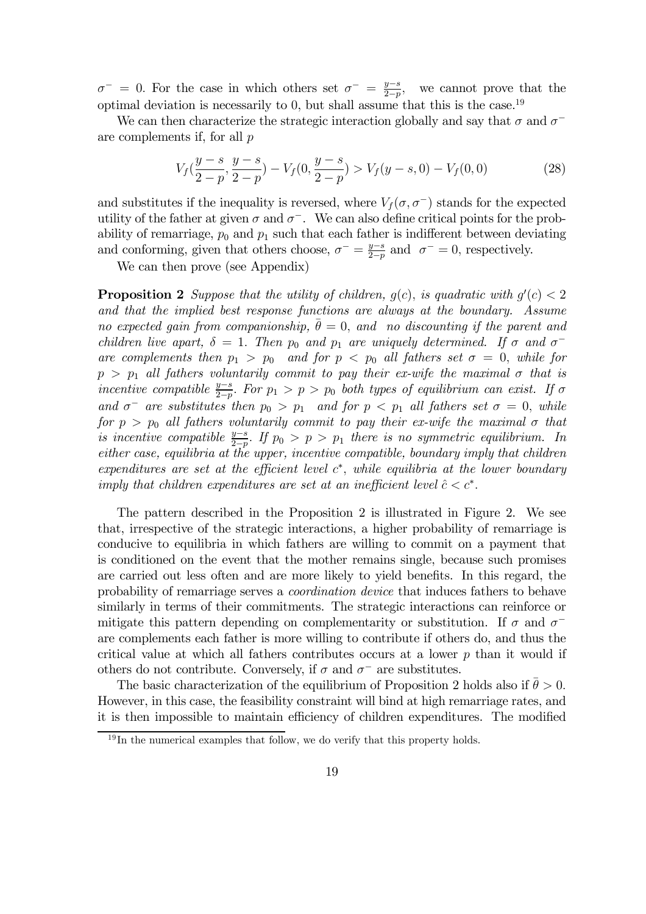$\sigma^- = 0$ . For the case in which others set  $\sigma^- = \frac{y-s}{2-p}$ , we cannot prove that the optimal deviation is necessarily to 0, but shall assume that this is the case.<sup>19</sup>

We can then characterize the strategic interaction globally and say that  $\sigma$  and  $\sigma^$ are complements if, for all p

$$
V_f(\frac{y-s}{2-p}, \frac{y-s}{2-p}) - V_f(0, \frac{y-s}{2-p}) > V_f(y-s, 0) - V_f(0, 0)
$$
 (28)

and substitutes if the inequality is reversed, where  $V_f(\sigma, \sigma^-)$  stands for the expected utility of the father at given  $\sigma$  and  $\sigma^-$ . We can also define critical points for the probability of remarriage,  $p_0$  and  $p_1$  such that each father is indifferent between deviating and conforming, given that others choose,  $\sigma^{-} = \frac{y-s}{2-p}$  and  $\sigma^{-} = 0$ , respectively.

We can then prove (see Appendix)

**Proposition 2** Suppose that the utility of children,  $g(c)$ , is quadratic with  $g'(c) < 2$ and that the implied best response functions are always at the boundary. Assume no expected gain from companionship,  $\bar{\theta} = 0$ , and no discounting if the parent and children live apart,  $\delta = 1$ . Then  $p_0$  and  $p_1$  are uniquely determined. If  $\sigma$  and  $\sigma^$ are complements then  $p_1 > p_0$  and for  $p < p_0$  all fathers set  $\sigma = 0$ , while for  $p\,>\,p_1$  all fathers voluntarily commit to pay their ex-wife the maximal  $\sigma$  that is incentive compatible  $\frac{y-s}{2-p}$ . For  $p_1 > p > p_0$  both types of equilibrium can exist. If  $\sigma$ and  $\sigma^-$  are substitutes then  $p_0 > p_1$  and for  $p < p_1$  all fathers set  $\sigma = 0$ , while for  $p>p_0$  all fathers voluntarily commit to pay their ex-wife the maximal  $\sigma$  that is incentive compatible  $\frac{y-s}{2-p}$ . If  $p_0 > p > p_1$  there is no symmetric equilibrium. In either case, equilibria at the upper, incentive compatible, boundary imply that children expenditures are set at the efficient level  $c^*$ , while equilibria at the lower boundary imply that children expenditures are set at an inefficient level  $\hat{c} < c^*$ .

The pattern described in the Proposition 2 is illustrated in Figure 2. We see that, irrespective of the strategic interactions, a higher probability of remarriage is conducive to equilibria in which fathers are willing to commit on a payment that is conditioned on the event that the mother remains single, because such promises are carried out less often and are more likely to yield benefits. In this regard, the probability of remarriage serves a coordination device that induces fathers to behave similarly in terms of their commitments. The strategic interactions can reinforce or mitigate this pattern depending on complementarity or substitution. If  $\sigma$  and  $\sigma^$ are complements each father is more willing to contribute if others do, and thus the critical value at which all fathers contributes occurs at a lower  $p$  than it would if others do not contribute. Conversely, if  $\sigma$  and  $\sigma^-$  are substitutes.

The basic characterization of the equilibrium of Proposition 2 holds also if  $\theta > 0$ . However, in this case, the feasibility constraint will bind at high remarriage rates, and it is then impossible to maintain efficiency of children expenditures. The modified

<sup>&</sup>lt;sup>19</sup> In the numerical examples that follow, we do verify that this property holds.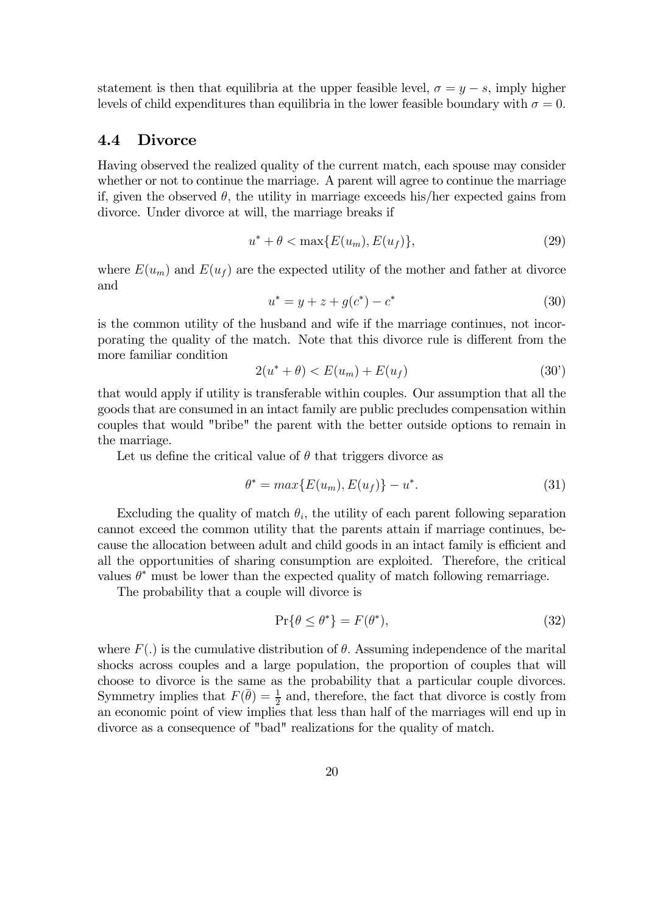statement is then that equilibria at the upper feasible level,  $\sigma = y - s$ , imply higher levels of child expenditures than equilibria in the lower feasible boundary with  $\sigma = 0$ .

#### 4.4 Divorce

Having observed the realized quality of the current match, each spouse may consider whether or not to continue the marriage. A parent will agree to continue the marriage if, given the observed  $\theta$ , the utility in marriage exceeds his/her expected gains from divorce. Under divorce at will, the marriage breaks if

$$
u^* + \theta < \max\{E(u_m), E(u_f)\},\tag{29}
$$

where  $E(u_m)$  and  $E(u_f)$  are the expected utility of the mother and father at divorce and

$$
u^* = y + z + g(c^*) - c^*
$$
 (30)

is the common utility of the husband and wife if the marriage continues, not incorporating the quality of the match. Note that this divorce rule is different from the more familiar condition

$$
2(u^* + \theta) < E(u_m) + E(u_f) \tag{30'}
$$

that would apply if utility is transferable within couples. Our assumption that all the goods that are consumed in an intact family are public precludes compensation within couples that would "bribe" the parent with the better outside options to remain in the marriage.

Let us define the critical value of  $\theta$  that triggers divorce as

$$
\theta^* = \max\{E(u_m), E(u_f)\} - u^*.
$$
\n(31)

Excluding the quality of match  $\theta_i$ , the utility of each parent following separation cannot exceed the common utility that the parents attain if marriage continues, because the allocation between adult and child goods in an intact family is efficient and all the opportunities of sharing consumption are exploited. Therefore, the critical values  $\theta^*$  must be lower than the expected quality of match following remarriage.

The probability that a couple will divorce is

$$
\Pr\{\theta \le \theta^*\} = F(\theta^*),\tag{32}
$$

where  $F(.)$  is the cumulative distribution of  $\theta$ . Assuming independence of the marital shocks across couples and a large population, the proportion of couples that will choose to divorce is the same as the probability that a particular couple divorces. Symmetry implies that  $F(\bar{\theta}) = \frac{1}{2}$  and, therefore, the fact that divorce is costly from an economic point of view implies that less than half of the marriages will end up in divorce as a consequence of "bad" realizations for the quality of match.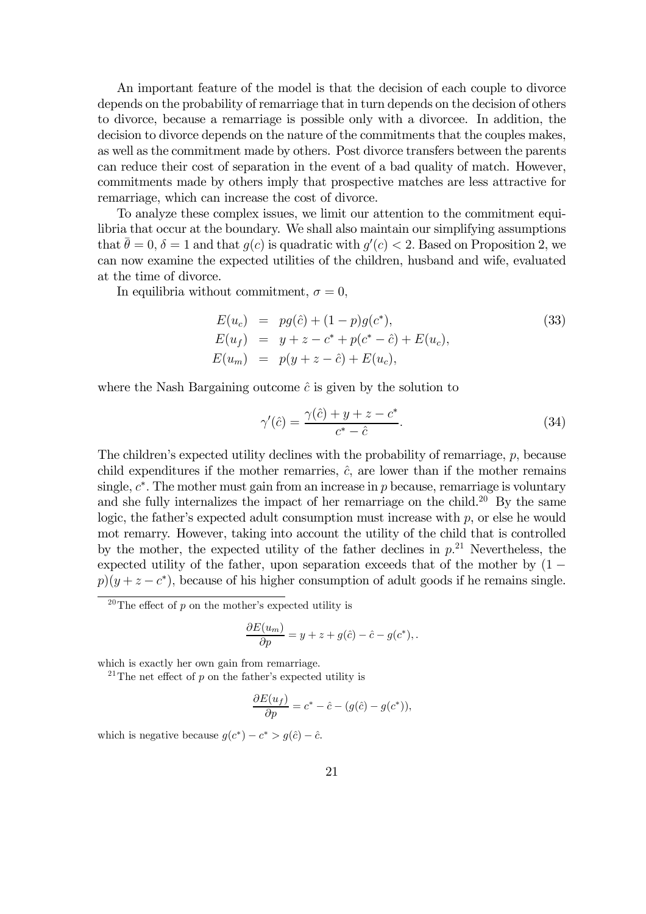An important feature of the model is that the decision of each couple to divorce depends on the probability of remarriage that in turn depends on the decision of others to divorce, because a remarriage is possible only with a divorcee. In addition, the decision to divorce depends on the nature of the commitments that the couples makes, as well as the commitment made by others. Post divorce transfers between the parents can reduce their cost of separation in the event of a bad quality of match. However, commitments made by others imply that prospective matches are less attractive for remarriage, which can increase the cost of divorce.

To analyze these complex issues, we limit our attention to the commitment equilibria that occur at the boundary. We shall also maintain our simplifying assumptions that  $\bar{\theta} = 0$ ,  $\delta = 1$  and that  $g(c)$  is quadratic with  $g'(c) < 2$ . Based on Proposition 2, we can now examine the expected utilities of the children, husband and wife, evaluated at the time of divorce.

In equilibria without commitment,  $\sigma = 0$ ,

$$
E(u_c) = pg(\hat{c}) + (1 - p)g(c^*),
$$
  
\n
$$
E(u_f) = y + z - c^* + p(c^* - \hat{c}) + E(u_c),
$$
  
\n
$$
E(u_m) = p(y + z - \hat{c}) + E(u_c),
$$
\n(33)

where the Nash Bargaining outcome  $\hat{c}$  is given by the solution to

$$
\gamma'(\hat{c}) = \frac{\gamma(\hat{c}) + y + z - c^*}{c^* - \hat{c}}.
$$
\n(34)

The children's expected utility declines with the probability of remarriage,  $p$ , because child expenditures if the mother remarries,  $\hat{c}$ , are lower than if the mother remains single,  $c^*$ . The mother must gain from an increase in p because, remarriage is voluntary and she fully internalizes the impact of her remarriage on the child.<sup>20</sup> By the same logic, the father's expected adult consumption must increase with  $p$ , or else he would mot remarry. However, taking into account the utility of the child that is controlled by the mother, the expected utility of the father declines in  $p<sup>21</sup>$  Nevertheless, the expected utility of the father, upon separation exceeds that of the mother by  $(1$  $p(y + z - c^*)$ , because of his higher consumption of adult goods if he remains single.

$$
\frac{\partial E(u_m)}{\partial p} = y + z + g(\hat{c}) - \hat{c} - g(c^*),
$$

$$
\frac{\partial E(u_f)}{\partial p} = c^* - \hat{c} - (g(\hat{c}) - g(c^*)),
$$

which is negative because  $g(c^*) - c^* > g(\hat{c}) - \hat{c}$ .

<sup>&</sup>lt;sup>20</sup>The effect of p on the mother's expected utility is

which is exactly her own gain from remarriage.

<sup>&</sup>lt;sup>21</sup>The net effect of  $p$  on the father's expected utility is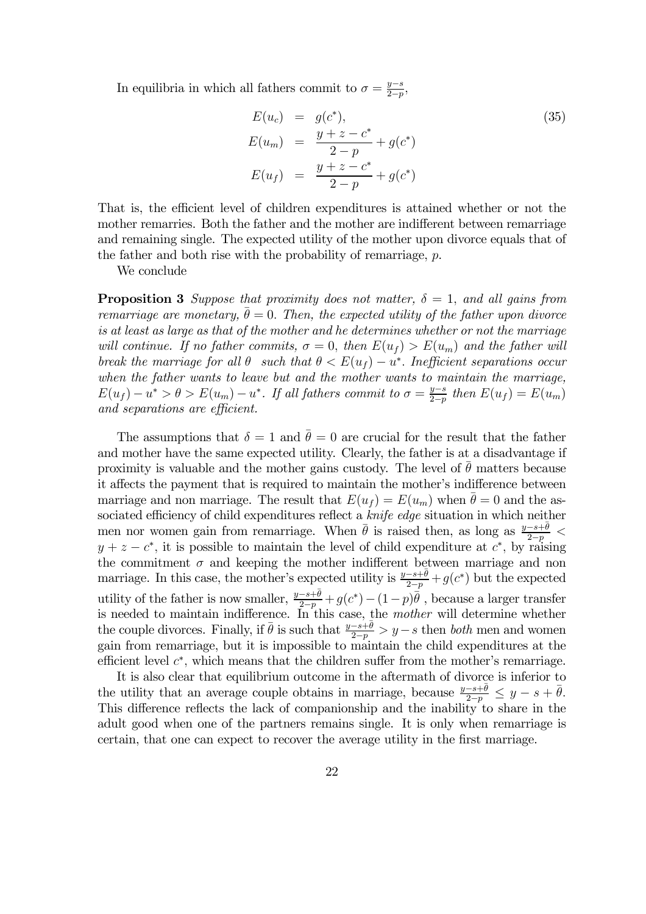In equilibria in which all fathers commit to  $\sigma = \frac{y-s}{2-p}$ ,

$$
E(u_c) = g(c^*),
$$
  
\n
$$
E(u_m) = \frac{y+z-c^*}{2-p} + g(c^*)
$$
  
\n
$$
E(u_f) = \frac{y+z-c^*}{2-p} + g(c^*)
$$
\n(35)

That is, the efficient level of children expenditures is attained whether or not the mother remarries. Both the father and the mother are indifferent between remarriage and remaining single. The expected utility of the mother upon divorce equals that of the father and both rise with the probability of remarriage, p.

We conclude

**Proposition 3** Suppose that proximity does not matter,  $\delta = 1$ , and all gains from remarriage are monetary,  $\bar{\theta} = 0$ . Then, the expected utility of the father upon divorce is at least as large as that of the mother and he determines whether or not the marriage will continue. If no father commits,  $\sigma = 0$ , then  $E(u_f) > E(u_m)$  and the father will break the marriage for all  $\theta$  such that  $\theta < E(u_f) - u^*$ . Inefficient separations occur when the father wants to leave but and the mother wants to maintain the marriage,  $E(u_f) - u^* > \theta > E(u_m) - u^*$ . If all fathers commit to  $\sigma = \frac{y-s}{2-p}$  then  $E(u_f) = E(u_m)$ and separations are efficient.

The assumptions that  $\delta = 1$  and  $\bar{\theta} = 0$  are crucial for the result that the father and mother have the same expected utility. Clearly, the father is at a disadvantage if proximity is valuable and the mother gains custody. The level of  $\theta$  matters because it affects the payment that is required to maintain the mother's indifference between marriage and non marriage. The result that  $E(u_f) = E(u_m)$  when  $\bar{\theta} = 0$  and the associated efficiency of child expenditures reflect a knife edge situation in which neither men nor women gain from remarriage. When  $\bar{\theta}$  is raised then, as long as  $\frac{y-s+\bar{\theta}}{2-p}$ .  $y + z - c^*$ , it is possible to maintain the level of child expenditure at  $c^*$ , by raising the commitment  $\sigma$  and keeping the mother indifferent between marriage and non marriage. In this case, the mother's expected utility is  $\frac{y-s+\bar{\theta}}{2-p} + g(c^*)$  but the expected utility of the father is now smaller,  $\frac{y-s+\bar{\theta}}{2-p}+g(c^*)-(1-p)\bar{\theta}$ , because a larger transfer is needed to maintain indifference. In this case, the *mother* will determine whether the couple divorces. Finally, if  $\bar{\theta}$  is such that  $\frac{y-s+\bar{\theta}}{2-p} > y-s$  then *both* men and women gain from remarriage, but it is impossible to maintain the child expenditures at the efficient level  $c^*$ , which means that the children suffer from the mother's remarriage.

It is also clear that equilibrium outcome in the aftermath of divorce is inferior to the utility that an average couple obtains in marriage, because  $\frac{y-s+\bar{\theta}}{2-p} \leq y-s+\bar{\theta}$ . This difference reflects the lack of companionship and the inability to share in the adult good when one of the partners remains single. It is only when remarriage is certain, that one can expect to recover the average utility in the first marriage.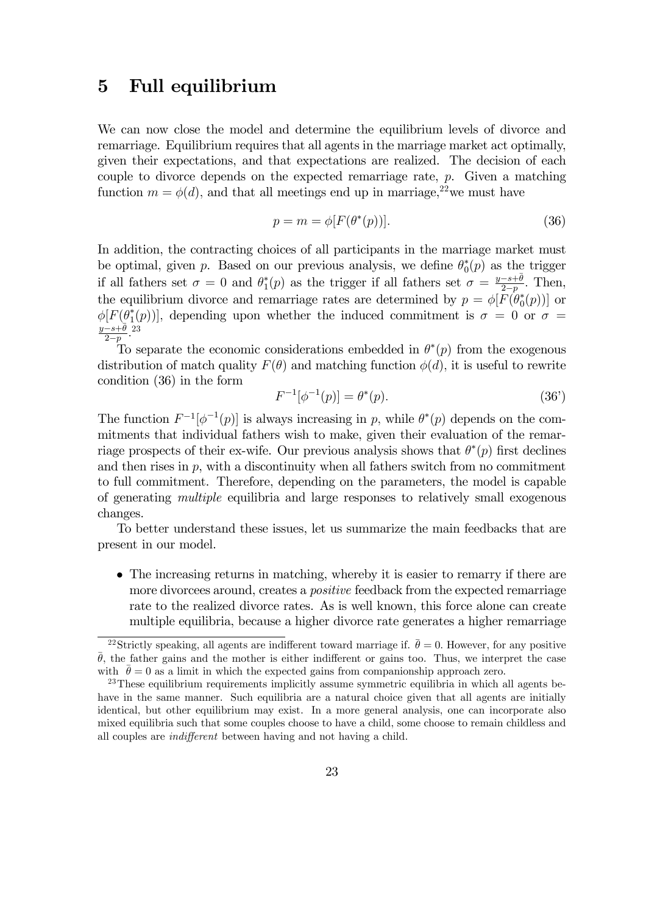### 5 Full equilibrium

We can now close the model and determine the equilibrium levels of divorce and remarriage. Equilibrium requires that all agents in the marriage market act optimally, given their expectations, and that expectations are realized. The decision of each couple to divorce depends on the expected remarriage rate,  $p$ . Given a matching function  $m = \phi(d)$ , and that all meetings end up in marriage,<sup>22</sup>we must have

$$
p = m = \phi[F(\theta^*(p))].\tag{36}
$$

In addition, the contracting choices of all participants in the marriage market must be optimal, given p. Based on our previous analysis, we define  $\theta_0^*(p)$  as the trigger if all fathers set  $\sigma = 0$  and  $\theta_1^*(p)$  as the trigger if all fathers set  $\sigma = \frac{y-s+\bar{\theta}}{2-p}$ . Then, the equilibrium divorce and remarriage rates are determined by  $p = \phi[F(\theta_0^*(p))]$  or  $\phi[F(\theta_1^*(p))],$  depending upon whether the induced commitment is  $\sigma = 0$  or  $\sigma = \frac{y-s+\bar{\theta}}{2}$  23  $\frac{-s+\theta}{2-p}$ . <sup>23</sup>

To separate the economic considerations embedded in  $\theta^*(p)$  from the exogenous distribution of match quality  $F(\theta)$  and matching function  $\phi(d)$ , it is useful to rewrite condition (36) in the form

$$
F^{-1}[\phi^{-1}(p)] = \theta^*(p). \tag{36'}
$$

The function  $F^{-1}[\phi^{-1}(p)]$  is always increasing in p, while  $\theta^*(p)$  depends on the commitments that individual fathers wish to make, given their evaluation of the remarriage prospects of their ex-wife. Our previous analysis shows that  $\theta^*(p)$  first declines and then rises in  $p$ , with a discontinuity when all fathers switch from no commitment to full commitment. Therefore, depending on the parameters, the model is capable of generating multiple equilibria and large responses to relatively small exogenous changes.

To better understand these issues, let us summarize the main feedbacks that are present in our model.

• The increasing returns in matching, whereby it is easier to remarry if there are more divorcees around, creates a *positive* feedback from the expected remarriage rate to the realized divorce rates. As is well known, this force alone can create multiple equilibria, because a higher divorce rate generates a higher remarriage

<sup>&</sup>lt;sup>22</sup>Strictly speaking, all agents are indifferent toward marriage if.  $\bar{\theta} = 0$ . However, for any positive  $\bar{\theta}$ , the father gains and the mother is either indifferent or gains too. Thus, we interpret the case with  $\bar{\theta} = 0$  as a limit in which the expected gains from companionship approach zero.

<sup>&</sup>lt;sup>23</sup>These equilibrium requirements implicitly assume symmetric equilibria in which all agents behave in the same manner. Such equilibria are a natural choice given that all agents are initially identical, but other equilibrium may exist. In a more general analysis, one can incorporate also mixed equilibria such that some couples choose to have a child, some choose to remain childless and all couples are indifferent between having and not having a child.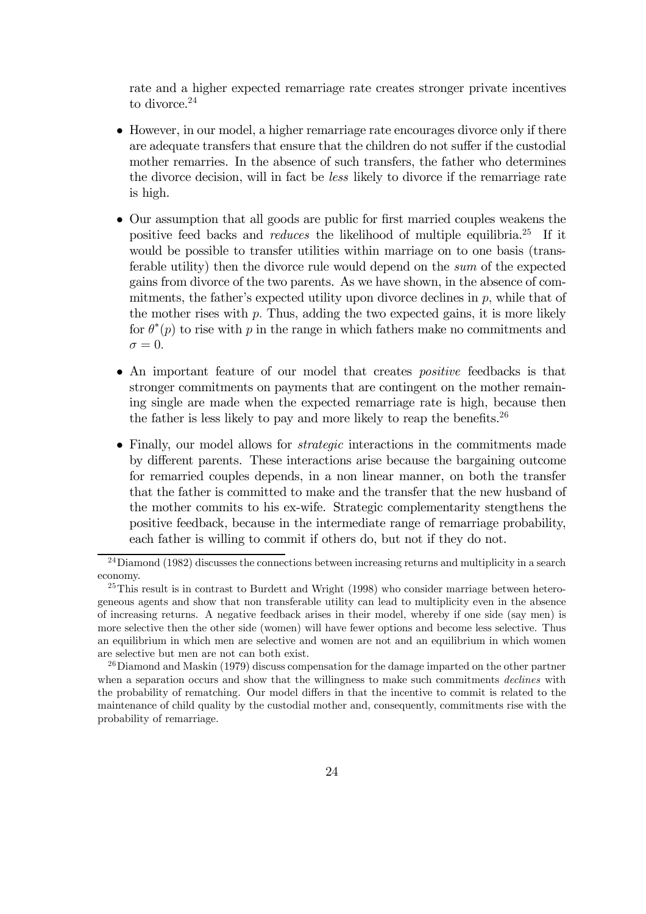rate and a higher expected remarriage rate creates stronger private incentives to divorce.<sup>24</sup>

- However, in our model, a higher remarriage rate encourages divorce only if there are adequate transfers that ensure that the children do not suffer if the custodial mother remarries. In the absence of such transfers, the father who determines the divorce decision, will in fact be less likely to divorce if the remarriage rate is high.
- Our assumption that all goods are public for first married couples weakens the positive feed backs and reduces the likelihood of multiple equilibria.25 If it would be possible to transfer utilities within marriage on to one basis (transferable utility) then the divorce rule would depend on the sum of the expected gains from divorce of the two parents. As we have shown, in the absence of commitments, the father's expected utility upon divorce declines in  $p$ , while that of the mother rises with  $p$ . Thus, adding the two expected gains, it is more likely for  $\theta^*(p)$  to rise with p in the range in which fathers make no commitments and  $\sigma = 0$ .
- An important feature of our model that creates *positive* feedbacks is that stronger commitments on payments that are contingent on the mother remaining single are made when the expected remarriage rate is high, because then the father is less likely to pay and more likely to reap the benefits.<sup>26</sup>
- Finally, our model allows for *strategic* interactions in the commitments made by different parents. These interactions arise because the bargaining outcome for remarried couples depends, in a non linear manner, on both the transfer that the father is committed to make and the transfer that the new husband of the mother commits to his ex-wife. Strategic complementarity stengthens the positive feedback, because in the intermediate range of remarriage probability, each father is willing to commit if others do, but not if they do not.

 $24$ Diamond (1982) discusses the connections between increasing returns and multiplicity in a search economy.

 $25$ This result is in contrast to Burdett and Wright (1998) who consider marriage between heterogeneous agents and show that non transferable utility can lead to multiplicity even in the absence of increasing returns. A negative feedback arises in their model, whereby if one side (say men) is more selective then the other side (women) will have fewer options and become less selective. Thus an equilibrium in which men are selective and women are not and an equilibrium in which women are selective but men are not can both exist.

 $^{26}$ Diamond and Maskin (1979) discuss compensation for the damage imparted on the other partner when a separation occurs and show that the willingness to make such commitments *declines* with the probability of rematching. Our model differs in that the incentive to commit is related to the maintenance of child quality by the custodial mother and, consequently, commitments rise with the probability of remarriage.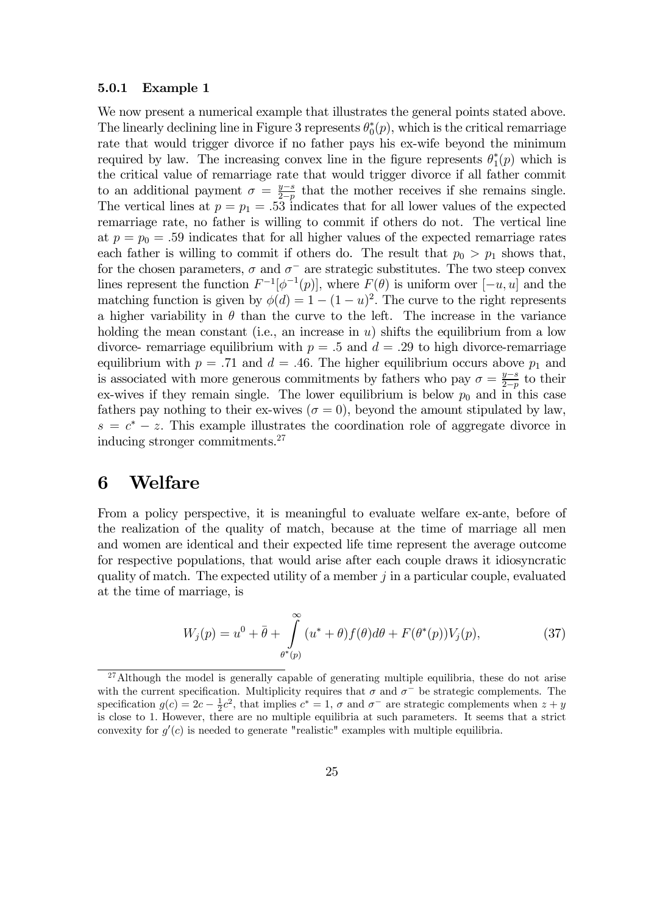#### 5.0.1 Example 1

We now present a numerical example that illustrates the general points stated above. The linearly declining line in Figure 3 represents  $\theta_0^*(p)$ , which is the critical remarriage rate that would trigger divorce if no father pays his ex-wife beyond the minimum required by law. The increasing convex line in the figure represents  $\theta_1^*(p)$  which is the critical value of remarriage rate that would trigger divorce if all father commit to an additional payment  $\sigma = \frac{y-s}{2-p}$  that the mother receives if she remains single. The vertical lines at  $p = p_1 = .53$  indicates that for all lower values of the expected remarriage rate, no father is willing to commit if others do not. The vertical line at  $p = p_0 = .59$  indicates that for all higher values of the expected remarriage rates each father is willing to commit if others do. The result that  $p_0 > p_1$  shows that, for the chosen parameters,  $\sigma$  and  $\sigma^-$  are strategic substitutes. The two steep convex lines represent the function  $F^{-1}[\phi^{-1}(p)]$ , where  $F(\theta)$  is uniform over  $[-u, u]$  and the matching function is given by  $\phi(d)=1-(1-u)^2$ . The curve to the right represents a higher variability in  $\theta$  than the curve to the left. The increase in the variance holding the mean constant (i.e., an increase in  $u$ ) shifts the equilibrium from a low divorce- remarriage equilibrium with  $p = .5$  and  $d = .29$  to high divorce-remarriage equilibrium with  $p = .71$  and  $d = .46$ . The higher equilibrium occurs above  $p_1$  and is associated with more generous commitments by fathers who pay  $\sigma = \frac{y-s}{2-p}$  to their ex-wives if they remain single. The lower equilibrium is below  $p_0$  and in this case fathers pay nothing to their ex-wives ( $\sigma = 0$ ), beyond the amount stipulated by law.  $s = c^* - z$ . This example illustrates the coordination role of aggregate divorce in inducing stronger commitments.27

# 6 Welfare

From a policy perspective, it is meaningful to evaluate welfare ex-ante, before of the realization of the quality of match, because at the time of marriage all men and women are identical and their expected life time represent the average outcome for respective populations, that would arise after each couple draws it idiosyncratic quality of match. The expected utility of a member  $j$  in a particular couple, evaluated at the time of marriage, is

$$
W_j(p) = u^0 + \bar{\theta} + \int_{\theta^*(p)}^{\infty} (u^* + \theta) f(\theta) d\theta + F(\theta^*(p)) V_j(p), \qquad (37)
$$

 $27$ Although the model is generally capable of generating multiple equilibria, these do not arise with the current specification. Multiplicity requires that  $\sigma$  and  $\sigma^-$  be strategic complements. The specification  $g(c)=2c - \frac{1}{2}c^2$ , that implies  $c^* = 1$ ,  $\sigma$  and  $\sigma^-$  are strategic complements when  $z + y$ is close to 1. However, there are no multiple equilibria at such parameters. It seems that a strict convexity for  $g'(c)$  is needed to generate "realistic" examples with multiple equilibria.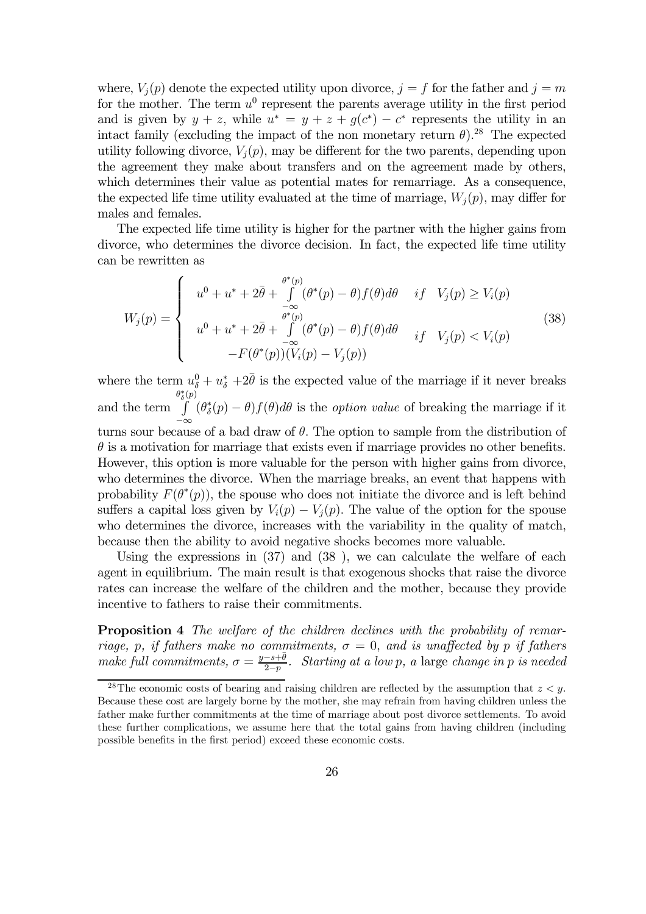where,  $V_i(p)$  denote the expected utility upon divorce,  $j = f$  for the father and  $j = m$ for the mother. The term  $u^0$  represent the parents average utility in the first period and is given by  $y + z$ , while  $u^* = y + z + g(c^*) - c^*$  represents the utility in an intact family (excluding the impact of the non monetary return  $\theta$ ).<sup>28</sup> The expected utility following divorce,  $V_i(p)$ , may be different for the two parents, depending upon the agreement they make about transfers and on the agreement made by others, which determines their value as potential mates for remarriage. As a consequence, the expected life time utility evaluated at the time of marriage,  $W_j(p)$ , may differ for males and females.

The expected life time utility is higher for the partner with the higher gains from divorce, who determines the divorce decision. In fact, the expected life time utility can be rewritten as

$$
W_j(p) = \begin{cases} u^0 + u^* + 2\bar{\theta} + \int_{-\infty}^{\theta^*(p)} (\theta^*(p) - \theta) f(\theta) d\theta & \text{if} \quad V_j(p) \ge V_i(p) \\ u^0 + u^* + 2\bar{\theta} + \int_{-\infty}^{\theta^*(p)} (\theta^*(p) - \theta) f(\theta) d\theta & \text{if} \quad V_j(p) < V_i(p) \\ -F(\theta^*(p))(V_i(p) - V_j(p)) & \end{cases} \tag{38}
$$

where the term  $u_{\delta}^0 + u_{\delta}^* + 2\bar{\theta}$  is the expected value of the marriage if it never breaks and the term  $\overset{\theta^*_\delta(p)}{\int}$ −∞  $(\theta_{\delta}^{*}(p) - \theta) f(\theta) d\theta$  is the *option value* of breaking the marriage if it turns sour because of a bad draw of  $\theta$ . The option to sample from the distribution of  $\theta$  is a motivation for marriage that exists even if marriage provides no other benefits. However, this option is more valuable for the person with higher gains from divorce, who determines the divorce. When the marriage breaks, an event that happens with probability  $F(\theta^*(p))$ , the spouse who does not initiate the divorce and is left behind suffers a capital loss given by  $V_i(p) - V_j(p)$ . The value of the option for the spouse who determines the divorce, increases with the variability in the quality of match, because then the ability to avoid negative shocks becomes more valuable.

Using the expressions in (37) and (38 ), we can calculate the welfare of each agent in equilibrium. The main result is that exogenous shocks that raise the divorce rates can increase the welfare of the children and the mother, because they provide incentive to fathers to raise their commitments.

**Proposition 4** The welfare of the children declines with the probability of remarriage, p, if fathers make no commitments,  $\sigma = 0$ , and is unaffected by p if fathers make full commitments,  $\sigma = \frac{y-s+\bar{\theta}}{2-p}$ . Starting at a low p, a large change in p is needed

<sup>&</sup>lt;sup>28</sup>The economic costs of bearing and raising children are reflected by the assumption that  $z < y$ . Because these cost are largely borne by the mother, she may refrain from having children unless the father make further commitments at the time of marriage about post divorce settlements. To avoid these further complications, we assume here that the total gains from having children (including possible benefits in the first period) exceed these economic costs.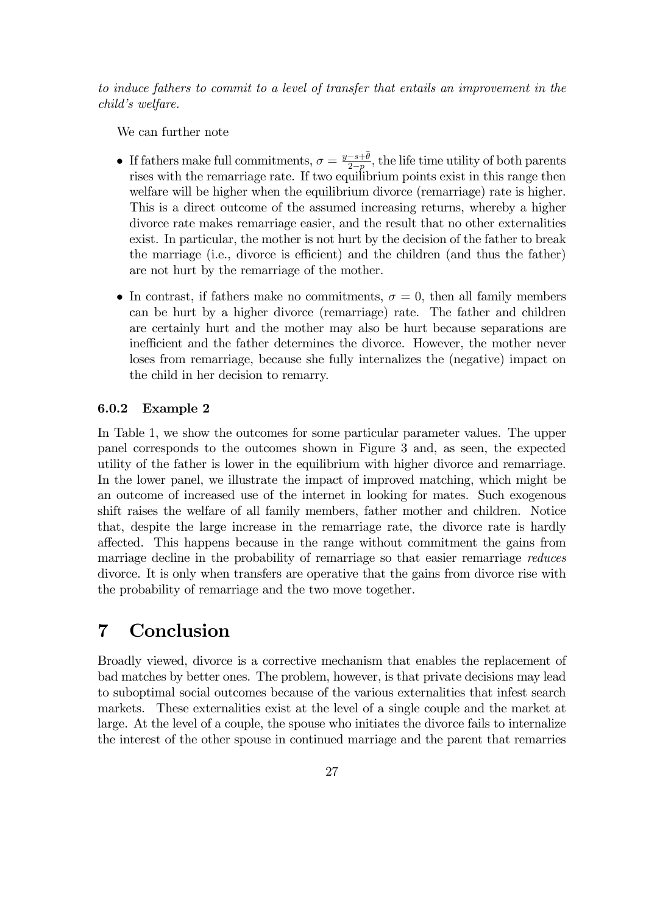to induce fathers to commit to a level of transfer that entails an improvement in the child's welfare.

We can further note

- If fathers make full commitments,  $\sigma = \frac{y-s+\bar{\theta}}{2-p}$ , the life time utility of both parents rises with the remarriage rate. If two equilibrium points exist in this range then welfare will be higher when the equilibrium divorce (remarriage) rate is higher. This is a direct outcome of the assumed increasing returns, whereby a higher divorce rate makes remarriage easier, and the result that no other externalities exist. In particular, the mother is not hurt by the decision of the father to break the marriage (i.e., divorce is efficient) and the children (and thus the father) are not hurt by the remarriage of the mother.
- In contrast, if fathers make no commitments,  $\sigma = 0$ , then all family members can be hurt by a higher divorce (remarriage) rate. The father and children are certainly hurt and the mother may also be hurt because separations are inefficient and the father determines the divorce. However, the mother never loses from remarriage, because she fully internalizes the (negative) impact on the child in her decision to remarry.

#### 6.0.2 Example 2

In Table 1, we show the outcomes for some particular parameter values. The upper panel corresponds to the outcomes shown in Figure 3 and, as seen, the expected utility of the father is lower in the equilibrium with higher divorce and remarriage. In the lower panel, we illustrate the impact of improved matching, which might be an outcome of increased use of the internet in looking for mates. Such exogenous shift raises the welfare of all family members, father mother and children. Notice that, despite the large increase in the remarriage rate, the divorce rate is hardly affected. This happens because in the range without commitment the gains from marriage decline in the probability of remarriage so that easier remarriage reduces divorce. It is only when transfers are operative that the gains from divorce rise with the probability of remarriage and the two move together.

# 7 Conclusion

Broadly viewed, divorce is a corrective mechanism that enables the replacement of bad matches by better ones. The problem, however, is that private decisions may lead to suboptimal social outcomes because of the various externalities that infest search markets. These externalities exist at the level of a single couple and the market at large. At the level of a couple, the spouse who initiates the divorce fails to internalize the interest of the other spouse in continued marriage and the parent that remarries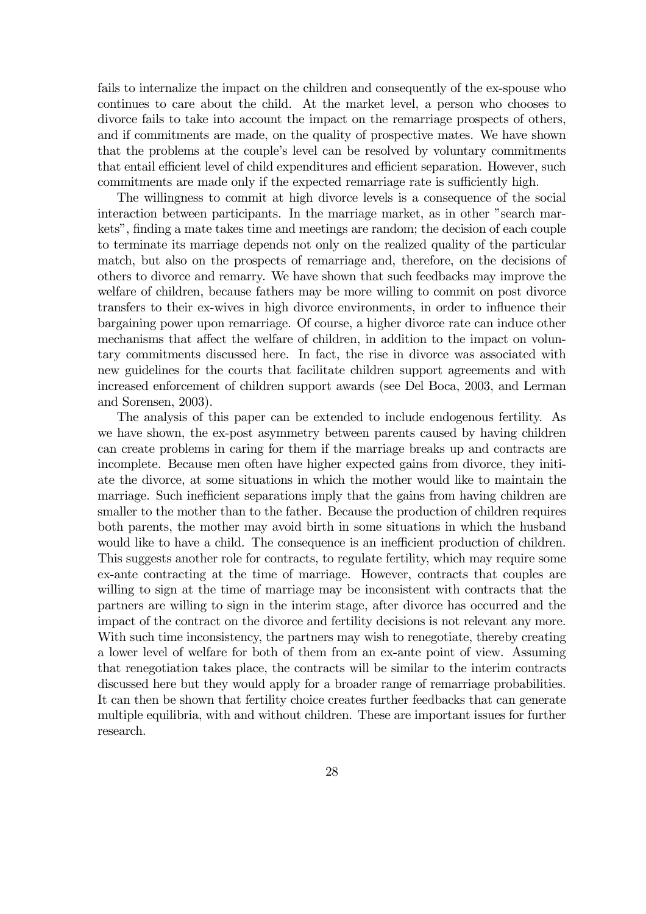fails to internalize the impact on the children and consequently of the ex-spouse who continues to care about the child. At the market level, a person who chooses to divorce fails to take into account the impact on the remarriage prospects of others, and if commitments are made, on the quality of prospective mates. We have shown that the problems at the couple's level can be resolved by voluntary commitments that entail efficient level of child expenditures and efficient separation. However, such commitments are made only if the expected remarriage rate is sufficiently high.

The willingness to commit at high divorce levels is a consequence of the social interaction between participants. In the marriage market, as in other "search markets", finding a mate takes time and meetings are random; the decision of each couple to terminate its marriage depends not only on the realized quality of the particular match, but also on the prospects of remarriage and, therefore, on the decisions of others to divorce and remarry. We have shown that such feedbacks may improve the welfare of children, because fathers may be more willing to commit on post divorce transfers to their ex-wives in high divorce environments, in order to influence their bargaining power upon remarriage. Of course, a higher divorce rate can induce other mechanisms that affect the welfare of children, in addition to the impact on voluntary commitments discussed here. In fact, the rise in divorce was associated with new guidelines for the courts that facilitate children support agreements and with increased enforcement of children support awards (see Del Boca, 2003, and Lerman and Sorensen, 2003).

The analysis of this paper can be extended to include endogenous fertility. As we have shown, the ex-post asymmetry between parents caused by having children can create problems in caring for them if the marriage breaks up and contracts are incomplete. Because men often have higher expected gains from divorce, they initiate the divorce, at some situations in which the mother would like to maintain the marriage. Such inefficient separations imply that the gains from having children are smaller to the mother than to the father. Because the production of children requires both parents, the mother may avoid birth in some situations in which the husband would like to have a child. The consequence is an inefficient production of children. This suggests another role for contracts, to regulate fertility, which may require some ex-ante contracting at the time of marriage. However, contracts that couples are willing to sign at the time of marriage may be inconsistent with contracts that the partners are willing to sign in the interim stage, after divorce has occurred and the impact of the contract on the divorce and fertility decisions is not relevant any more. With such time inconsistency, the partners may wish to renegotiate, thereby creating a lower level of welfare for both of them from an ex-ante point of view. Assuming that renegotiation takes place, the contracts will be similar to the interim contracts discussed here but they would apply for a broader range of remarriage probabilities. It can then be shown that fertility choice creates further feedbacks that can generate multiple equilibria, with and without children. These are important issues for further research.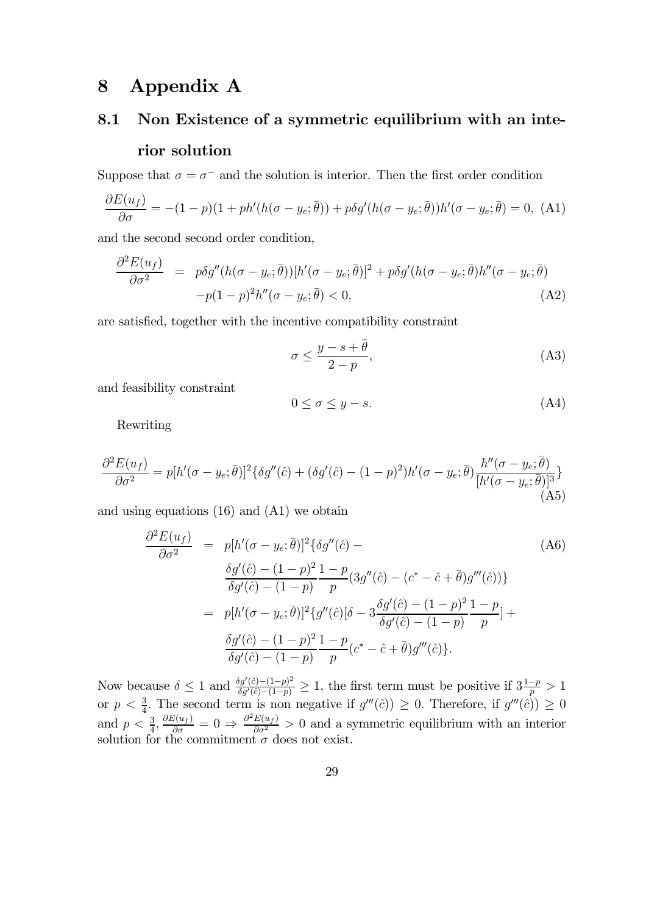# 8 Appendix A

# 8.1 Non Existence of a symmetric equilibrium with an interior solution

Suppose that  $\sigma = \sigma^-$  and the solution is interior. Then the first order condition

$$
\frac{\partial E(u_f)}{\partial \sigma} = -(1-p)(1+ph'(h(\sigma - y_e; \bar{\theta})) + p\delta g'(h(\sigma - y_e; \bar{\theta}))h'(\sigma - y_e; \bar{\theta}) = 0, (A1)
$$

and the second second order condition,

$$
\frac{\partial^2 E(u_f)}{\partial \sigma^2} = p\delta g''(h(\sigma - y_e; \bar{\theta}))[h'(\sigma - y_e; \bar{\theta})]^2 + p\delta g'(h(\sigma - y_e; \bar{\theta})h''(\sigma - y_e; \bar{\theta})
$$

$$
-p(1-p)^2h''(\sigma - y_e; \bar{\theta}) < 0,
$$
(A2)

are satisfied, together with the incentive compatibility constraint

$$
\sigma \le \frac{y - s + \bar{\theta}}{2 - p},\tag{A3}
$$

and feasibility constraint

$$
0 \le \sigma \le y - s. \tag{A4}
$$

Rewriting

$$
\frac{\partial^2 E(u_f)}{\partial \sigma^2} = p[h'(\sigma - y_e; \bar{\theta})]^2 \{ \delta g''(\hat{c}) + (\delta g'(\hat{c}) - (1 - p)^2)h'(\sigma - y_e; \bar{\theta}) \frac{h''(\sigma - y_e; \bar{\theta})}{[h'(\sigma - y_e; \bar{\theta})]^3} \}
$$
(A5)

and using equations (16) and (A1) we obtain

$$
\frac{\partial^2 E(u_f)}{\partial \sigma^2} = p[h'(\sigma - y_e; \bar{\theta})]^2 \{ \delta g''(\hat{c}) - (1 - p)g''(\hat{c}) - (1 - p)g''(\hat{c}) \} \n\frac{\delta g'(\hat{c}) - (1 - p)^2}{\delta g'(\hat{c}) - (1 - p)} \frac{1 - p}{p} (3g''(\hat{c}) - (c^* - \hat{c} + \bar{\theta})g'''(\hat{c})) \} \n= p[h'(\sigma - y_e; \bar{\theta})]^2 \{ g''(\hat{c})[\delta - 3\frac{\delta g'(\hat{c}) - (1 - p)^2}{\delta g'(\hat{c}) - (1 - p)} \frac{1 - p}{p} + \frac{\delta g'(\hat{c}) - (1 - p)^2}{\delta g'(\hat{c}) - (1 - p)} \frac{1 - p}{p} (c^* - \hat{c} + \bar{\theta})g'''(\hat{c}) \}.
$$
\n(A6)

Now because  $\delta \leq 1$  and  $\frac{\delta g'(\hat{c})-(1-p)^2}{\delta g'(\hat{c})-(1-p)} \geq 1$ , the first term must be positive if  $3\frac{1-p}{p} > 1$ or  $p < \frac{3}{4}$ . The second term is non negative if  $g'''(\hat{c}) \ge 0$ . Therefore, if  $g'''(\hat{c}) \ge 0$ and  $p < \frac{3}{4}, \frac{\partial E(u_f)}{\partial \sigma} = 0 \Rightarrow \frac{\partial^2 E(u_f)}{\partial \sigma^2} > 0$  and a symmetric equilibrium with an interior solution for the commitment  $\sigma$  does not exist.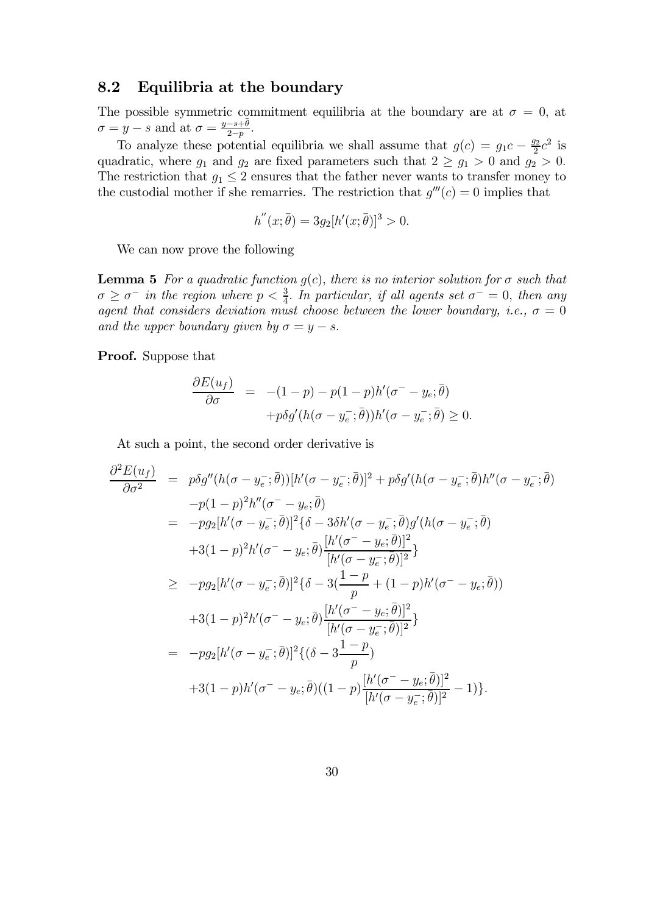#### 8.2 Equilibria at the boundary

The possible symmetric commitment equilibria at the boundary are at  $\sigma = 0$ , at  $\sigma = y - s$  and at  $\sigma = \frac{y - s + \overline{\theta}}{2 - p}$ .

To analyze these potential equilibria we shall assume that  $g(c) = g_1 c - \frac{g_2}{2} c^2$  is quadratic, where  $g_1$  and  $g_2$  are fixed parameters such that  $2 \ge g_1 > 0$  and  $g_2 > 0$ . The restriction that  $g_1 \leq 2$  ensures that the father never wants to transfer money to the custodial mother if she remarries. The restriction that  $g'''(c)=0$  implies that

$$
h''(x;\bar{\theta}) = 3g_2[h'(x;\bar{\theta})]^3 > 0.
$$

We can now prove the following

**Lemma 5** For a quadratic function  $q(c)$ , there is no interior solution for  $\sigma$  such that  $\sigma \geq \sigma^-$  in the region where  $p < \frac{3}{4}$ . In particular, if all agents set  $\sigma^- = 0$ , then any agent that considers deviation must choose between the lower boundary, i.e.,  $\sigma = 0$ and the upper boundary given by  $\sigma = y - s$ .

Proof. Suppose that

$$
\frac{\partial E(u_f)}{\partial \sigma} = -(1-p) - p(1-p)h'(\sigma^- - y_e; \bar{\theta})
$$

$$
+ p\delta g'(h(\sigma - y_e; \bar{\theta}))h'(\sigma - y_e; \bar{\theta}) \ge 0.
$$

At such a point, the second order derivative is

$$
\frac{\partial^2 E(u_f)}{\partial \sigma^2} = p\delta g''(h(\sigma - y_e^-;\bar{\theta}))[h'(\sigma - y_e^-;\bar{\theta})]^2 + p\delta g'(h(\sigma - y_e^-;\bar{\theta})h''(\sigma - y_e^-;\bar{\theta})
$$
  
\n
$$
-p(1-p)^2h''(\sigma - y_e;\bar{\theta})
$$
  
\n
$$
= -pg_2[h'(\sigma - y_e^-;\bar{\theta})]^2 \{\delta - 3\delta h'(\sigma - y_e^-;\bar{\theta})g'(h(\sigma - y_e^-;\bar{\theta})
$$
  
\n
$$
+3(1-p)^2h'(\sigma^- - y_e;\bar{\theta})\frac{[h'(\sigma^- - y_e;\bar{\theta})]^2}{[h'(\sigma - y_e^-;\bar{\theta})]^2}\}
$$
  
\n
$$
\ge -pg_2[h'(\sigma - y_e^-;\bar{\theta})]^2 \{\delta - 3(\frac{1-p}{p} + (1-p)h'(\sigma^- - y_e;\bar{\theta}))
$$
  
\n
$$
+3(1-p)^2h'(\sigma^- - y_e;\bar{\theta})\frac{[h'(\sigma^- - y_e;\bar{\theta})]^2}{[h'(\sigma - y_e^-;\bar{\theta})]^2}\}
$$
  
\n
$$
= -pg_2[h'(\sigma - y_e^-;\bar{\theta})]^2 \{(\delta - 3\frac{1-p}{p})
$$
  
\n
$$
+3(1-p)h'(\sigma^- - y_e;\bar{\theta})((1-p)\frac{[h'(\sigma^- - y_e;\bar{\theta})]^2}{[h'(\sigma - y_e^-;\bar{\theta})]^2} - 1)\}.
$$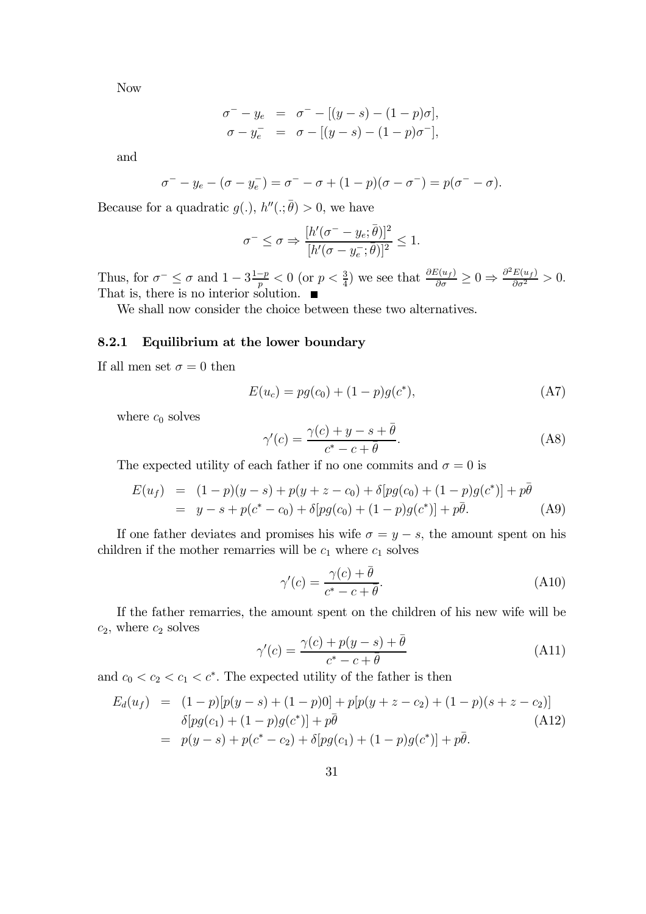Now

$$
\sigma^{-} - y_e = \sigma^{-} - [(y - s) - (1 - p)\sigma], \n\sigma - y_e^{-} = \sigma - [(y - s) - (1 - p)\sigma^{-}],
$$

and

$$
\sigma^- - y_e - (\sigma - y_e^-) = \sigma^- - \sigma + (1 - p)(\sigma - \sigma^-) = p(\sigma^- - \sigma).
$$

Because for a quadratic  $g(.)$ ,  $h''(.;\bar{\theta}) > 0$ , we have

$$
\sigma^{-} \leq \sigma \Rightarrow \frac{[h'(\sigma^{-} - y_e; \bar{\theta})]^2}{[h'(\sigma - y_e^-; \bar{\theta})]^2} \leq 1.
$$

Thus, for  $\sigma^- \leq \sigma$  and  $1 - 3\frac{1-p}{p} < 0$  (or  $p < \frac{3}{4}$ ) we see that  $\frac{\partial E(u_f)}{\partial \sigma} \geq 0 \Rightarrow \frac{\partial^2 E(u_f)}{\partial \sigma^2} > 0$ . That is, there is no interior solution.

We shall now consider the choice between these two alternatives.

#### 8.2.1 Equilibrium at the lower boundary

If all men set  $\sigma = 0$  then

$$
E(u_c) = pg(c_0) + (1 - p)g(c^*),
$$
\n(A7)

where  $c_0$  solves

$$
\gamma'(c) = \frac{\gamma(c) + y - s + \bar{\theta}}{c^* - c + \bar{\theta}}.\tag{A8}
$$

The expected utility of each father if no one commits and  $\sigma = 0$  is

$$
E(u_f) = (1-p)(y-s) + p(y+z-c_0) + \delta[pg(c_0) + (1-p)g(c^*)] + p\overline{\theta}
$$
  
=  $y-s + p(c^*-c_0) + \delta[pg(c_0) + (1-p)g(c^*)] + p\overline{\theta}$ . (A9)

If one father deviates and promises his wife  $\sigma = y - s$ , the amount spent on his children if the mother remarries will be  $c_1$  where  $c_1$  solves

$$
\gamma'(c) = \frac{\gamma(c) + \bar{\theta}}{c^* - c + \bar{\theta}}.\tag{A10}
$$

If the father remarries, the amount spent on the children of his new wife will be  $c_2$ , where  $c_2$  solves

$$
\gamma'(c) = \frac{\gamma(c) + p(y - s) + \bar{\theta}}{c^* - c + \bar{\theta}}\tag{A11}
$$

and  $c_0 < c_2 < c_1 < c^*$ . The expected utility of the father is then

$$
E_d(u_f) = (1-p)[p(y-s) + (1-p)0] + p[p(y+z-c_2) + (1-p)(s+z-c_2)]
$$
  
\n
$$
\delta[pg(c_1) + (1-p)g(c^*)] + p\bar{\theta}
$$
  
\n
$$
= p(y-s) + p(c^* - c_2) + \delta[pg(c_1) + (1-p)g(c^*)] + p\bar{\theta}.
$$
\n(A12)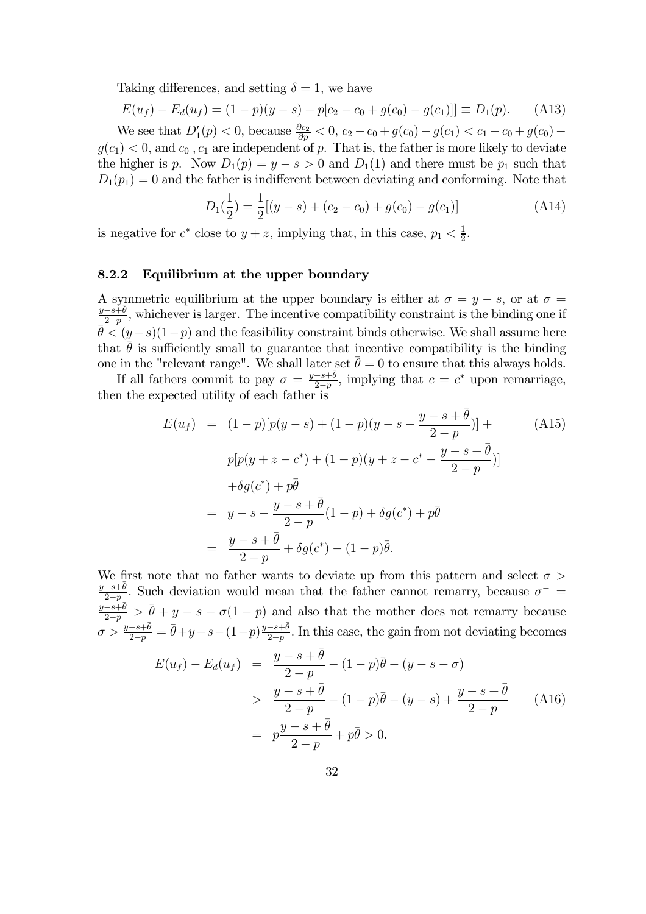Taking differences, and setting  $\delta = 1$ , we have

$$
E(u_f) - E_d(u_f) = (1 - p)(y - s) + p[c_2 - c_0 + g(c_0) - g(c_1)] \equiv D_1(p). \tag{A13}
$$

We see that  $D'_1(p) < 0$ , because  $\frac{\partial c_2}{\partial p} < 0$ ,  $c_2 - c_0 + g(c_0) - g(c_1) < c_1 - c_0 + g(c_0) - g(c_2)$  $g(c_1) < 0$ , and  $c_0$ ,  $c_1$  are independent of p. That is, the father is more likely to deviate the higher is p. Now  $D_1(p) = y - s > 0$  and  $D_1(1)$  and there must be  $p_1$  such that  $D_1(p_1)=0$  and the father is indifferent between deviating and conforming. Note that

$$
D_1(\frac{1}{2}) = \frac{1}{2}[(y-s) + (c_2 - c_0) + g(c_0) - g(c_1)]
$$
 (A14)

is negative for  $c^*$  close to  $y + z$ , implying that, in this case,  $p_1 < \frac{1}{2}$ .

#### 8.2.2 Equilibrium at the upper boundary

A symmetric equilibrium at the upper boundary is either at  $\sigma = y - s$ , or at  $\sigma = \frac{y - s + \bar{\theta}}{s}$ , whichever is larger. The incentive compatibility constraint is the binding one if  $\frac{-s+\theta}{2-p}$ , whichever is larger. The incentive compatibility constraint is the binding one if  $\overline{\theta} \lt (y-s)(1-p)$  and the feasibility constraint binds otherwise. We shall assume here that  $\bar{\theta}$  is sufficiently small to guarantee that incentive compatibility is the binding one in the "relevant range". We shall later set  $\bar{\theta} = 0$  to ensure that this always holds.

If all fathers commit to pay  $\sigma = \frac{y-s+\bar{\theta}}{2-p}$ , implying that  $c = c^*$  upon remarriage, then the expected utility of each father is

$$
E(u_f) = (1-p)[p(y-s) + (1-p)(y-s - \frac{y-s+\bar{\theta}}{2-p})] +
$$
  
\n
$$
p[p(y+z-c^*) + (1-p)(y+z-c^* - \frac{y-s+\bar{\theta}}{2-p})]
$$
  
\n
$$
+ \delta g(c^*) + p\bar{\theta}
$$
  
\n
$$
= y - s - \frac{y-s+\bar{\theta}}{2-p}(1-p) + \delta g(c^*) + p\bar{\theta}
$$
  
\n
$$
= \frac{y-s+\bar{\theta}}{2-p} + \delta g(c^*) - (1-p)\bar{\theta}.
$$
 (A15)

We first note that no father wants to deviate up from this pattern and select  $\sigma$  $\frac{y-s+\bar{\theta}}{2-p_{\bar{z}}^2}$ . Such deviation would mean that the father cannot remarry, because  $\sigma^-$  =  $y-s+{\bar{\theta}}$  $\frac{-s+\bar{\theta}}{2-p} > \bar{\theta} + y - s - \sigma(1-p)$  and also that the mother does not remarry because  $\sigma > \frac{y-s+\bar{\theta}}{2-p} = \bar{\theta} + y-s-(1-p)\frac{y-s+\bar{\theta}}{2-p}$ . In this case, the gain from not deviating becomes

$$
E(u_f) - E_d(u_f) = \frac{y - s + \bar{\theta}}{2 - p} - (1 - p)\bar{\theta} - (y - s - \sigma)
$$
  
> 
$$
\frac{y - s + \bar{\theta}}{2 - p} - (1 - p)\bar{\theta} - (y - s) + \frac{y - s + \bar{\theta}}{2 - p}
$$
 (A16)  
= 
$$
p\frac{y - s + \bar{\theta}}{2 - p} + p\bar{\theta} > 0.
$$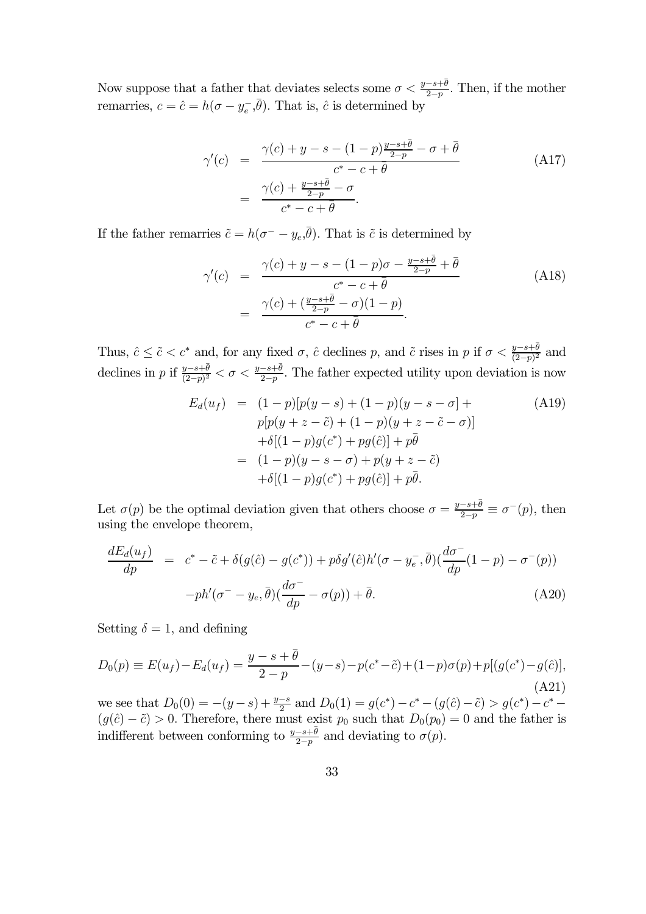Now suppose that a father that deviates selects some  $\sigma < \frac{y-s+\bar{\theta}}{2-p}$ . Then, if the mother remarries,  $c = \hat{c} = h(\sigma - y_e^-, \bar{\theta})$ . That is,  $\hat{c}$  is determined by

$$
\gamma'(c) = \frac{\gamma(c) + y - s - (1 - p)\frac{y - s + \bar{\theta}}{2 - p} - \sigma + \bar{\theta}}{c^* - c + \bar{\theta}}
$$
\n
$$
= \frac{\gamma(c) + \frac{y - s + \bar{\theta}}{2 - p} - \sigma}{c^* - c + \bar{\theta}}.
$$
\n(A17)

If the father remarries  $\tilde{c} = h(\sigma^- - y_e, \bar{\theta})$ . That is  $\tilde{c}$  is determined by

$$
\gamma'(c) = \frac{\gamma(c) + y - s - (1 - p)\sigma - \frac{y - s + \bar{\theta}}{2 - p} + \bar{\theta}}{c^* - c + \bar{\theta}}
$$
\n
$$
= \frac{\gamma(c) + (\frac{y - s + \bar{\theta}}{2 - p} - \sigma)(1 - p)}{c^* - c + \bar{\theta}}.
$$
\n(A18)

Thus,  $\hat{c} \leq \tilde{c} < c^*$  and, for any fixed  $\sigma$ ,  $\hat{c}$  declines p, and  $\tilde{c}$  rises in p if  $\sigma < \frac{y-s+\bar{\theta}}{(2-p)^2}$  and declines in p if  $\frac{y-s+\bar{\theta}}{(2-p)^2} < \sigma < \frac{y-s+\bar{\theta}}{2-p}$ . The father expected utility upon deviation is now

$$
E_d(u_f) = (1-p)[p(y-s) + (1-p)(y-s-\sigma] + p[p(y+z-\tilde{c}) + (1-p)(y+z-\tilde{c}-\sigma)]
$$
  
+  $\delta[(1-p)g(c^*) + pg(\tilde{c})] + p\bar{\theta}$   
=  $(1-p)(y-s-\sigma) + p(y+z-\tilde{c}) + \delta[(1-p)g(c^*) + pg(\tilde{c})] + p\bar{\theta}.$  (A19)

Let  $\sigma(p)$  be the optimal deviation given that others choose  $\sigma = \frac{y-s+\bar{\theta}}{2-p} \equiv \sigma^-(p)$ , then using the envelope theorem,

$$
\frac{dE_d(u_f)}{dp} = c^* - \tilde{c} + \delta(g(\hat{c}) - g(c^*)) + p\delta g'(\hat{c})h'(\sigma - y_e^-, \bar{\theta})(\frac{d\sigma^-}{dp}(1 - p) - \sigma^-(p))
$$

$$
-ph'(\sigma^- - y_e, \bar{\theta})(\frac{d\sigma^-}{dp} - \sigma(p)) + \bar{\theta}.
$$
(A20)

Setting  $\delta = 1$ , and defining

$$
D_0(p) \equiv E(u_f) - E_d(u_f) = \frac{y - s + \bar{\theta}}{2 - p} - (y - s) - p(c^* - \tilde{c}) + (1 - p)\sigma(p) + p[(g(c^*) - g(\tilde{c})),
$$
\n(A21)

we see that  $D_0(0) = -(y-s) + \frac{y-s}{2}$  and  $D_0(1) = g(c^*) - c^* - (g(\hat{c}) - \tilde{c}) > g(c^*) - c^* (g(\hat{c}) - \tilde{c}) > 0$ . Therefore, there must exist  $p_0$  such that  $D_0(p_0) = 0$  and the father is indifferent between conforming to  $\frac{y-s+\bar{\theta}}{2-p}$  and deviating to  $\sigma(p)$ .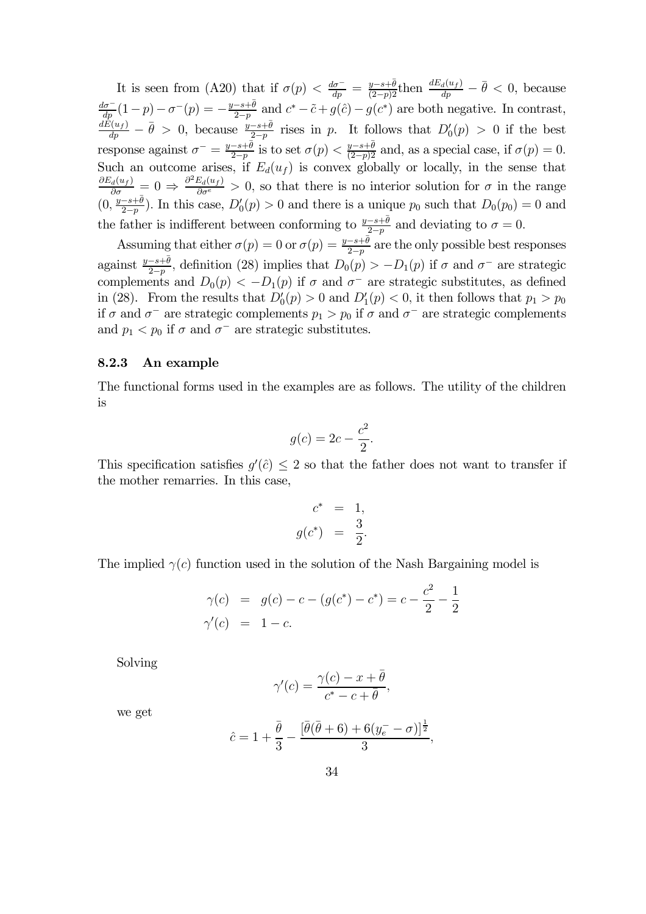It is seen from (A20) that if  $\sigma(p) < \frac{d\sigma^{-}}{dp} = \frac{y-s+\bar{\theta}}{(2-p)^2}$  then  $\frac{dE_d(u_f)}{dp} - \bar{\theta} < 0$ , because  $\frac{d\sigma^-}{dp}(1-p) - \sigma^-(p) = -\frac{y-s+\bar{\theta}}{2-p}$  and  $c^* - \tilde{c} + g(\hat{c}) - g(c^*)$  are both negative. In contrast,  $\frac{dE(u_f)}{dp} - \bar{\theta} > 0$ , because  $\frac{y-s+\bar{\theta}}{2-p}$  rises in p. It follows that  $D'_0(p) > 0$  if the best response against  $\sigma^{-} = \frac{y-s+\bar{\theta}}{2-p}$  is to set  $\sigma(p) < \frac{y-s+\bar{\theta}}{(2-p)^2}$  and, as a special case, if  $\sigma(p) = 0$ . Such an outcome arises, if  $E_d(u_f)$  is convex globally or locally, in the sense that  $\frac{\partial E_d(u_f)}{\partial \sigma} = 0 \Rightarrow \frac{\partial^2 E_d(u_f)}{\partial \sigma^e} > 0$ , so that there is no interior solution for  $\sigma$  in the range  $(0, \frac{y-s+\bar{\theta}}{2-p})$ . In this case,  $D'_0(p) > 0$  and there is a unique  $p_0$  such that  $D_0(p_0) = 0$  and the father is indifferent between conforming to  $\frac{y-s+\bar{\theta}}{z-p}$  and deviating to  $\sigma=0$ .

Assuming that either  $\sigma(p) = 0$  or  $\sigma(p) = \frac{y-s+\bar{\theta}}{2-p}$  are the only possible best responses against  $\frac{y-s+\bar{\theta}}{2-p}$ , definition (28) implies that  $D_0(p) > -D_1(p)$  if  $\sigma$  and  $\sigma^-$  are strategic complements and  $D_0(p) < -D_1(p)$  if  $\sigma$  and  $\sigma^-$  are strategic substitutes, as defined in (28). From the results that  $D'_0(p) > 0$  and  $D'_1(p) < 0$ , it then follows that  $p_1 > p_0$ if  $\sigma$  and  $\sigma^-$  are strategic complements  $p_1 > p_0$  if  $\sigma$  and  $\sigma^-$  are strategic complements and  $p_1 < p_0$  if  $\sigma$  and  $\sigma^-$  are strategic substitutes.

#### 8.2.3 An example

The functional forms used in the examples are as follows. The utility of the children is

$$
g(c) = 2c - \frac{c^2}{2}.
$$

This specification satisfies  $g'(\hat{c}) \leq 2$  so that the father does not want to transfer if the mother remarries. In this case,

$$
c^* = 1, g(c^*) = \frac{3}{2}.
$$

The implied  $\gamma(c)$  function used in the solution of the Nash Bargaining model is

$$
\gamma(c) = g(c) - c - (g(c^*) - c^*) = c - \frac{c^2}{2} - \frac{1}{2}
$$
  

$$
\gamma'(c) = 1 - c.
$$

Solving

$$
\gamma'(c) = \frac{\gamma(c) - x + \overline{\theta}}{c^* - c + \overline{\theta}},
$$

we get

$$
\hat{c} = 1 + \frac{\bar{\theta}}{3} - \frac{[\bar{\theta}(\bar{\theta} + 6) + 6(y_e^- - \sigma)]^{\frac{1}{2}}}{3},
$$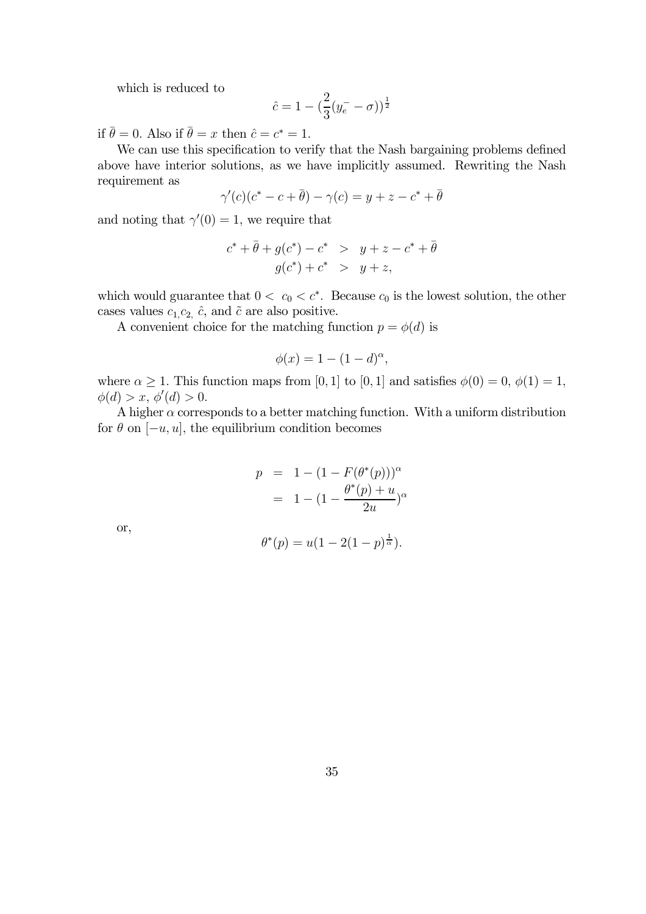which is reduced to

$$
\hat{c} = 1 - \left(\frac{2}{3}(y_e^- - \sigma)\right)^{\frac{1}{2}}
$$

if  $\bar{\theta} = 0$ . Also if  $\bar{\theta} = x$  then  $\hat{c} = c^* = 1$ .

We can use this specification to verify that the Nash bargaining problems defined above have interior solutions, as we have implicitly assumed. Rewriting the Nash requirement as

$$
\gamma'(c)(c^* - c + \bar{\theta}) - \gamma(c) = y + z - c^* + \bar{\theta}
$$

and noting that  $\gamma'(0) = 1$ , we require that

$$
c^* + \bar{\theta} + g(c^*) - c^* \geq y + z - c^* + \bar{\theta}
$$
  
 
$$
g(c^*) + c^* \geq y + z,
$$

which would guarantee that  $0 < c_0 < c^*$ . Because  $c_0$  is the lowest solution, the other cases values  $c_1, c_2, \hat{c}$ , and  $\tilde{c}$  are also positive.

A convenient choice for the matching function  $p = \phi(d)$  is

$$
\phi(x) = 1 - (1 - d)^{\alpha},
$$

where  $\alpha \geq 1$ . This function maps from [0, 1] to [0, 1] and satisfies  $\phi(0) = 0$ ,  $\phi(1) = 1$ ,  $\phi(d) > x, \, \phi'(d) > 0.$ 

A higher  $\alpha$  corresponds to a better matching function. With a uniform distribution for  $\theta$  on  $[-u, u]$ , the equilibrium condition becomes

$$
p = 1 - (1 - F(\theta^*(p)))^{\alpha}
$$
  
= 1 - (1 -  $\frac{\theta^*(p) + u}{2u}$ )<sup>\alpha</sup>

or,

$$
\theta^*(p) = u(1 - 2(1 - p)^{\frac{1}{\alpha}}).
$$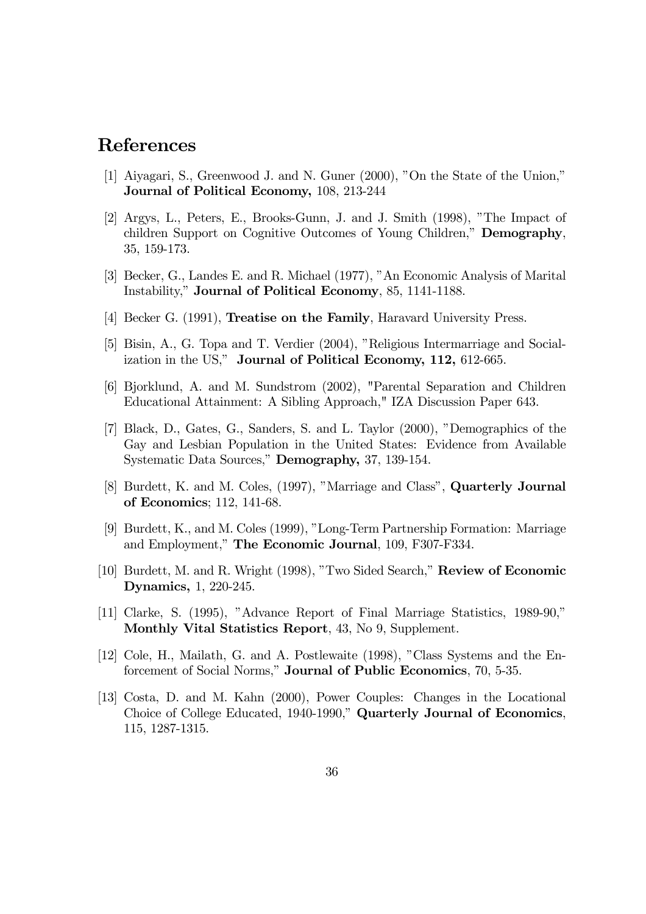### References

- [1] Aiyagari, S., Greenwood J. and N. Guner (2000), "On the State of the Union," Journal of Political Economy, 108, 213-244
- [2] Argys, L., Peters, E., Brooks-Gunn, J. and J. Smith (1998), "The Impact of children Support on Cognitive Outcomes of Young Children," Demography, 35, 159-173.
- [3] Becker, G., Landes E. and R. Michael (1977), "An Economic Analysis of Marital Instability," Journal of Political Economy, 85, 1141-1188.
- [4] Becker G. (1991), Treatise on the Family, Haravard University Press.
- [5] Bisin, A., G. Topa and T. Verdier (2004), "Religious Intermarriage and Socialization in the US," Journal of Political Economy, 112, 612-665.
- [6] Bjorklund, A. and M. Sundstrom (2002), "Parental Separation and Children Educational Attainment: A Sibling Approach," IZA Discussion Paper 643.
- [7] Black, D., Gates, G., Sanders, S. and L. Taylor (2000), "Demographics of the Gay and Lesbian Population in the United States: Evidence from Available Systematic Data Sources," Demography, 37, 139-154.
- [8] Burdett, K. and M. Coles, (1997), "Marriage and Class", Quarterly Journal of Economics; 112, 141-68.
- [9] Burdett, K., and M. Coles (1999), "Long-Term Partnership Formation: Marriage and Employment," The Economic Journal, 109, F307-F334.
- [10] Burdett, M. and R. Wright (1998), "Two Sided Search," Review of Economic Dynamics, 1, 220-245.
- [11] Clarke, S. (1995), "Advance Report of Final Marriage Statistics, 1989-90," Monthly Vital Statistics Report, 43, No 9, Supplement.
- [12] Cole, H., Mailath, G. and A. Postlewaite (1998), "Class Systems and the Enforcement of Social Norms," Journal of Public Economics, 70, 5-35.
- [13] Costa, D. and M. Kahn (2000), Power Couples: Changes in the Locational Choice of College Educated, 1940-1990," Quarterly Journal of Economics, 115, 1287-1315.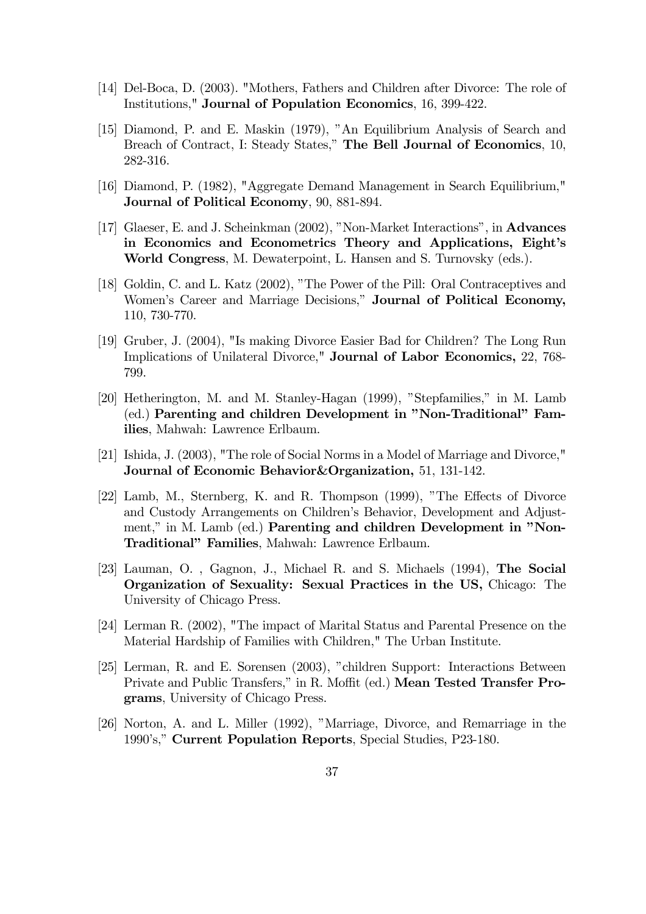- [14] Del-Boca, D. (2003). "Mothers, Fathers and Children after Divorce: The role of Institutions," Journal of Population Economics, 16, 399-422.
- [15] Diamond, P. and E. Maskin (1979), "An Equilibrium Analysis of Search and Breach of Contract, I: Steady States," The Bell Journal of Economics, 10, 282-316.
- [16] Diamond, P. (1982), "Aggregate Demand Management in Search Equilibrium," Journal of Political Economy, 90, 881-894.
- [17] Glaeser, E. and J. Scheinkman (2002), "Non-Market Interactions", in Advances in Economics and Econometrics Theory and Applications, Eight's World Congress, M. Dewaterpoint, L. Hansen and S. Turnovsky (eds.).
- [18] Goldin, C. and L. Katz (2002), "The Power of the Pill: Oral Contraceptives and Women's Career and Marriage Decisions," Journal of Political Economy, 110, 730-770.
- [19] Gruber, J. (2004), "Is making Divorce Easier Bad for Children? The Long Run Implications of Unilateral Divorce," Journal of Labor Economics, 22, 768- 799.
- [20] Hetherington, M. and M. Stanley-Hagan (1999), "Stepfamilies," in M. Lamb (ed.) Parenting and children Development in "Non-Traditional" Families, Mahwah: Lawrence Erlbaum.
- [21] Ishida, J. (2003), "The role of Social Norms in a Model of Marriage and Divorce," Journal of Economic Behavior&Organization, 51, 131-142.
- [22] Lamb, M., Sternberg, K. and R. Thompson (1999), "The Effects of Divorce and Custody Arrangements on Children's Behavior, Development and Adjustment," in M. Lamb (ed.) Parenting and children Development in "Non-Traditional" Families, Mahwah: Lawrence Erlbaum.
- [23] Lauman, O. , Gagnon, J., Michael R. and S. Michaels (1994), The Social Organization of Sexuality: Sexual Practices in the US, Chicago: The University of Chicago Press.
- [24] Lerman R. (2002), "The impact of Marital Status and Parental Presence on the Material Hardship of Families with Children," The Urban Institute.
- [25] Lerman, R. and E. Sorensen (2003), "children Support: Interactions Between Private and Public Transfers," in R. Moffit (ed.) Mean Tested Transfer Programs, University of Chicago Press.
- [26] Norton, A. and L. Miller (1992), "Marriage, Divorce, and Remarriage in the 1990's," Current Population Reports, Special Studies, P23-180.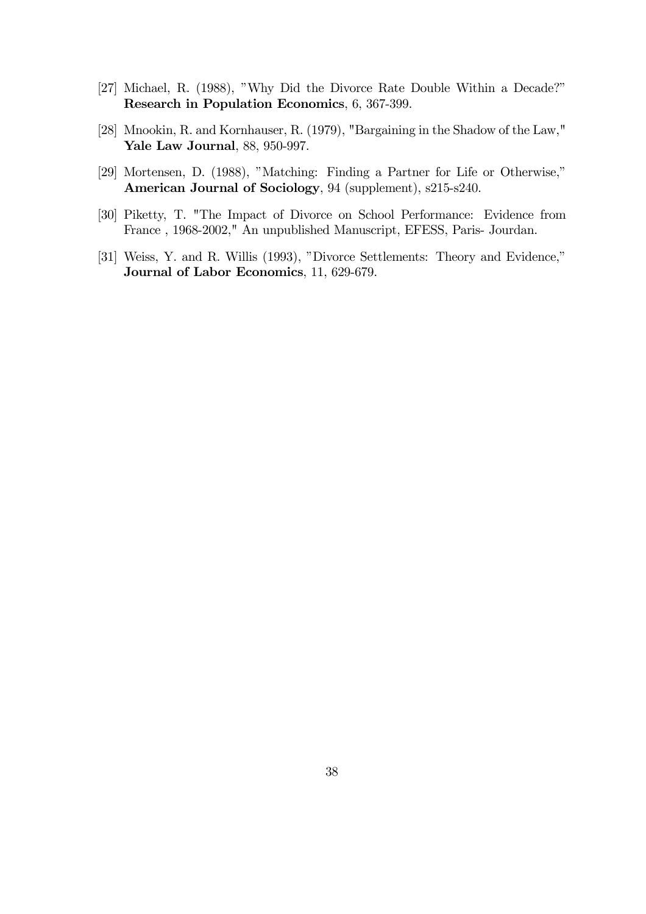- [27] Michael, R. (1988), "Why Did the Divorce Rate Double Within a Decade?" Research in Population Economics, 6, 367-399.
- [28] Mnookin, R. and Kornhauser, R. (1979), "Bargaining in the Shadow of the Law," Yale Law Journal, 88, 950-997.
- [29] Mortensen, D. (1988), "Matching: Finding a Partner for Life or Otherwise," American Journal of Sociology, 94 (supplement), s215-s240.
- [30] Piketty, T. "The Impact of Divorce on School Performance: Evidence from France , 1968-2002," An unpublished Manuscript, EFESS, Paris- Jourdan.
- [31] Weiss, Y. and R. Willis (1993), "Divorce Settlements: Theory and Evidence," Journal of Labor Economics, 11, 629-679.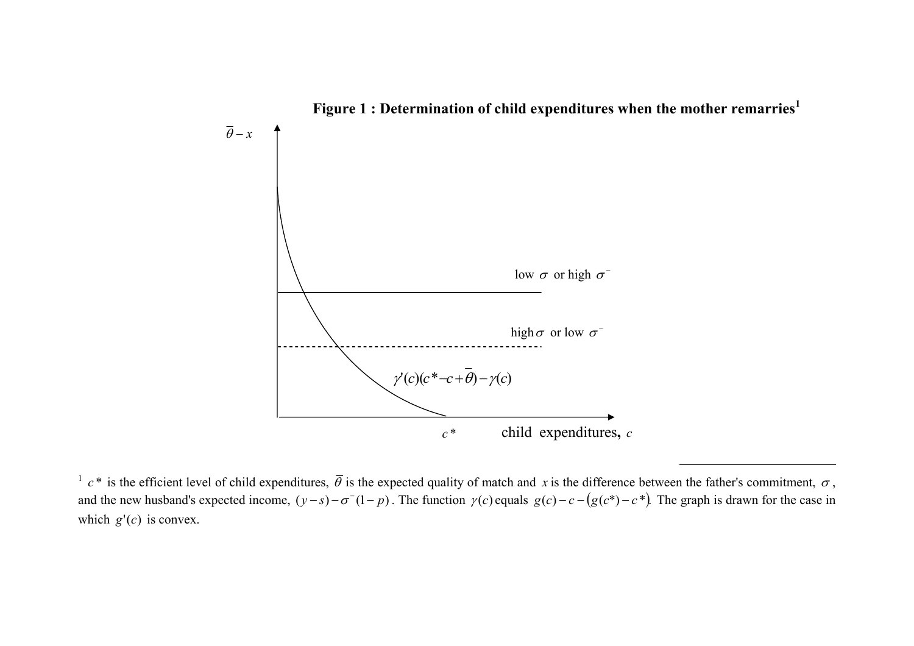

**Figure 1 : Determination of child expenditures when the mother remarries<sup>1</sup>**

<sup>1</sup>  $c^*$  is the efficient level of child expenditures,  $\overline{\theta}$  is the expected quality of match and *x* is the difference between the father's commitment,  $\sigma$ , and the new husband's expected income,  $(y - s) - \sigma^-(1 - p)$ . The function  $\gamma(c)$  equals  $g(c) - c - (g(c^*) - c^*)$ . The graph is drawn for the case in which  $g'(c)$  is convex.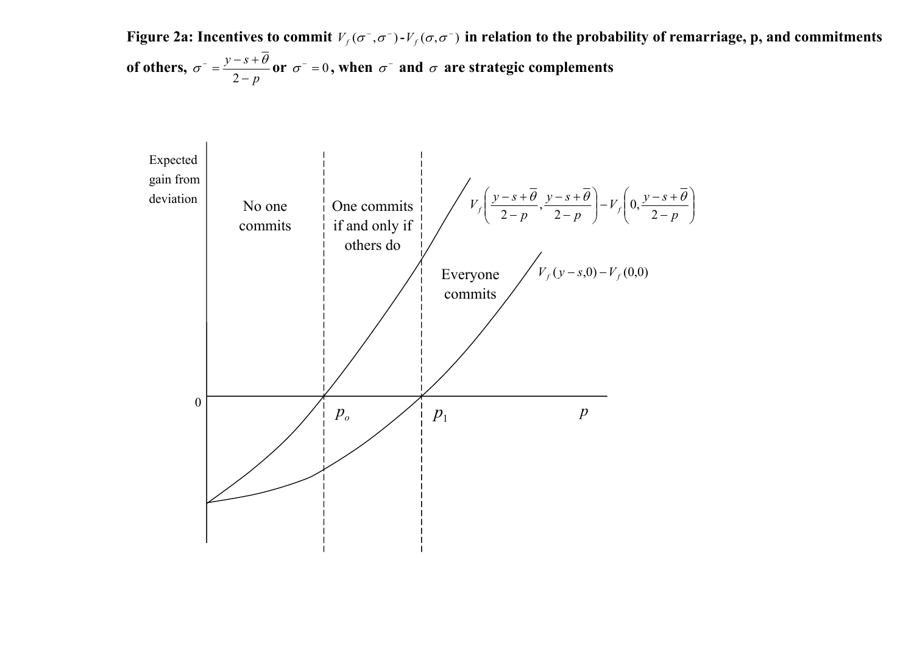**Figure 2a: Incentives to commit**  $V_f(\sigma^-, \sigma^-) - V_f(\sigma, \sigma^-)$  in relation to the probability of remarriage, p, and commitments **of others,**  *p y <sup>s</sup>*  $=\frac{y-s+2}{2-p}$  $\sigma^{-} = \frac{y - s + \theta}{2}$  or  $\sigma^{-} = 0$ , when  $\sigma^{-}$  and  $\sigma$  are strategic complements

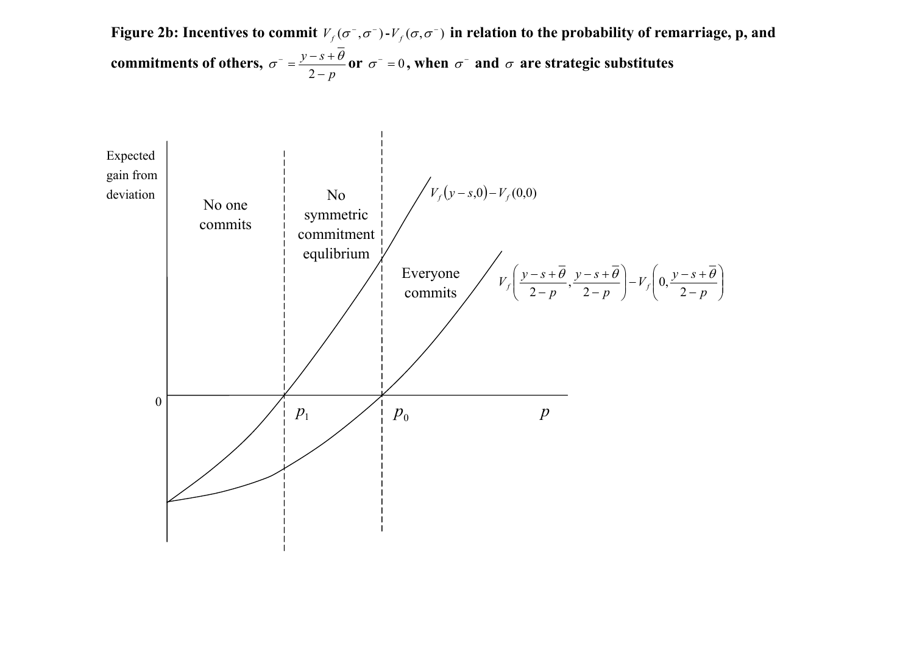**Figure 2b: Incentives to commit**  $V_f(\sigma^-, \sigma^-) - V_f(\sigma, \sigma^-)$  in relation to the probability of remarriage, p, and **commitments of others,**  *p y <sup>s</sup>*  $=\frac{y-s+2}{2-p}$  $\sigma^{-} = \frac{y - s + \theta}{2}$  or  $\sigma^{-} = 0$ , when  $\sigma^{-}$  and  $\sigma$  are strategic substitutes

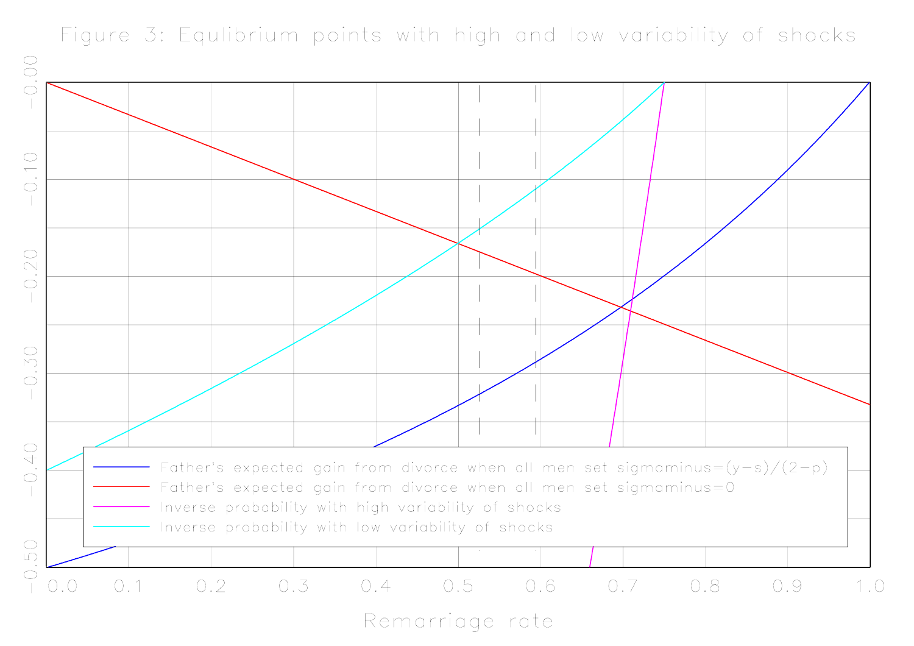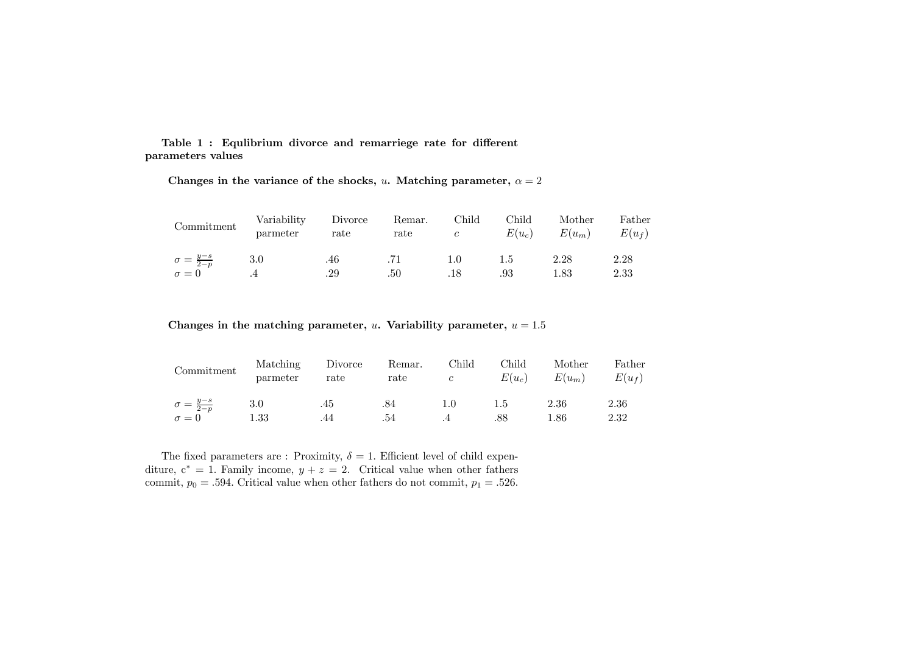Table 1 : Equlibrium divorce and remarriege rate for di fferent parameters values

Changes in the variance of the shocks,  $u.$  Matching parameter,  $\alpha=2$ 

| Commitment                 | Variability<br>parmeter | Divorce<br>rate | Remar.<br>rate | Child<br>$\overline{c}$ | Child<br>$E(u_c)$ | Mother | Father<br>$E(u_m)$ $E(u_f)$ |
|----------------------------|-------------------------|-----------------|----------------|-------------------------|-------------------|--------|-----------------------------|
| $\sigma = \frac{y-s}{2-p}$ | 3.0                     | .46             | 71             | 1.0                     | 1.5               | 2.28   | 2.28                        |
| $\sigma = 0$               |                         | .29             | .50            | .18                     | .93               | 1.83   | 2.33                        |

Changes in the matching parameter,  $u$ . Variability parameter,  $u = 1.5$ 

| Commitment                 | Matching<br>parmeter | Divorce<br>rate | Remar.<br>rate | Child<br>$\overline{c}$ | Child<br>$E(u_c)$ | Mother<br>$E(u_m)$ | Father<br>$E(u_f)$ |
|----------------------------|----------------------|-----------------|----------------|-------------------------|-------------------|--------------------|--------------------|
| $\sigma = \frac{y-s}{2-p}$ | -3.0                 | .45             | .84            | 1.0                     | 1.5               | 2.36               | 2.36               |
| $\sigma = 0$               | $1.33\,$             | .44             | .54            | $\Delta$                | .88               | 1.86               | 2.32               |

The fixed parameters are : Proximity,  $\delta = 1$ . Efficient level of child expenditure,  $c^* = 1$ . Family income,  $y + z = 2$ . Critical value when other fathers commit,  $p_0 = .594$ . Critical value when other fathers do not commit,  $p_1 = .526$ .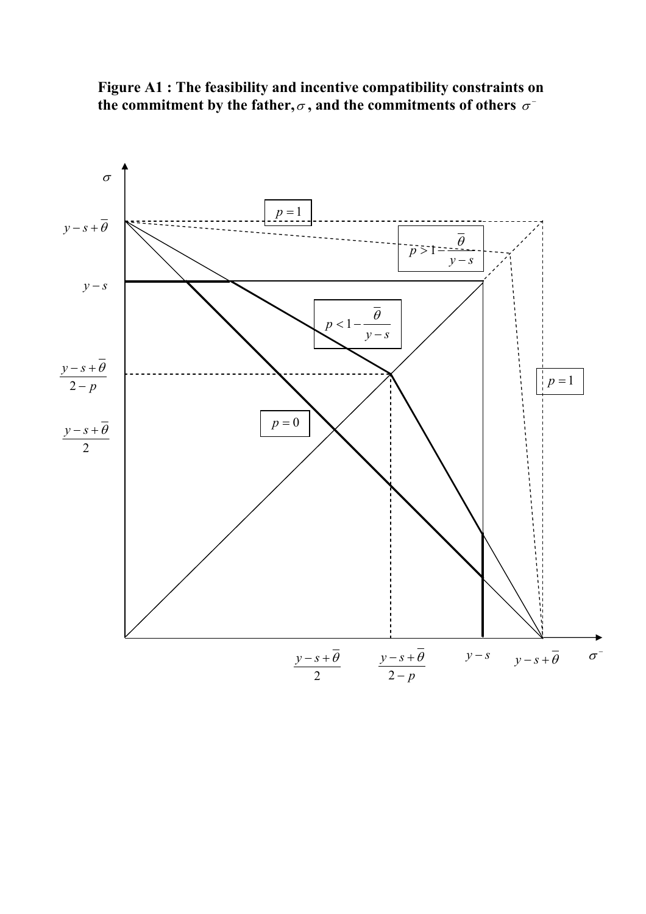

**Figure A1 : The feasibility and incentive compatibility constraints on the commitment by the father,** $\sigma$ , and the commitments of others  $\sigma$ <sup>-</sup>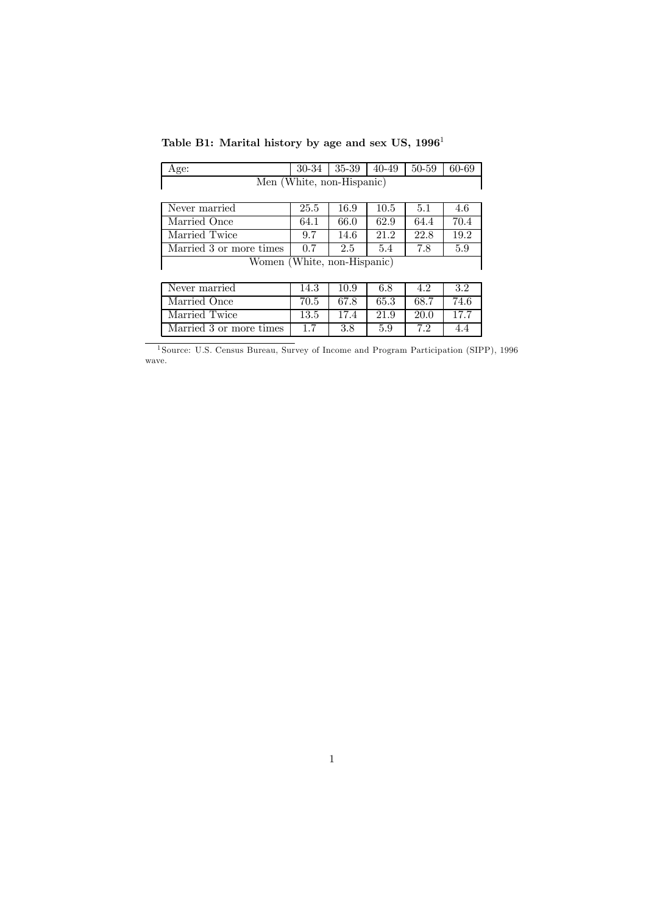| Age:                        | 30-34 | 35-39 | 40-49 | 50-59 | 60-69 |  |  |
|-----------------------------|-------|-------|-------|-------|-------|--|--|
| Men (White, non-Hispanic)   |       |       |       |       |       |  |  |
|                             |       |       |       |       |       |  |  |
| Never married               | 25.5  | 16.9  | 10.5  | 5.1   | 4.6   |  |  |
| Married Once                | 64.1  | 66.0  | 62.9  | 64.4  | 70.4  |  |  |
| Married Twice               | 9.7   | 14.6  | 21.2  | 22.8  | 19.2  |  |  |
| Married 3 or more times     | 0.7   | 2.5   | 5.4   | 7.8   | 5.9   |  |  |
| Women (White, non-Hispanic) |       |       |       |       |       |  |  |
|                             |       |       |       |       |       |  |  |
| Never married               | 14.3  | 10.9  | 6.8   | 4.2   | 3.2   |  |  |
| Married Once                | 70.5  | 67.8  | 65.3  | 68.7  | 74.6  |  |  |
| Married Twice               | 13.5  | 17.4  | 21.9  | 20.0  | 17.7  |  |  |
| Married 3 or more times     | 1.7   | 3.8   | 5.9   | 7.2   | 4.4   |  |  |

Table B1: Marital history by age and sex US,  $1996^1$ 

<sup>1</sup> Source: U.S. Census Bureau, Survey of Income and Program Participation (SIPP), 1996 wave.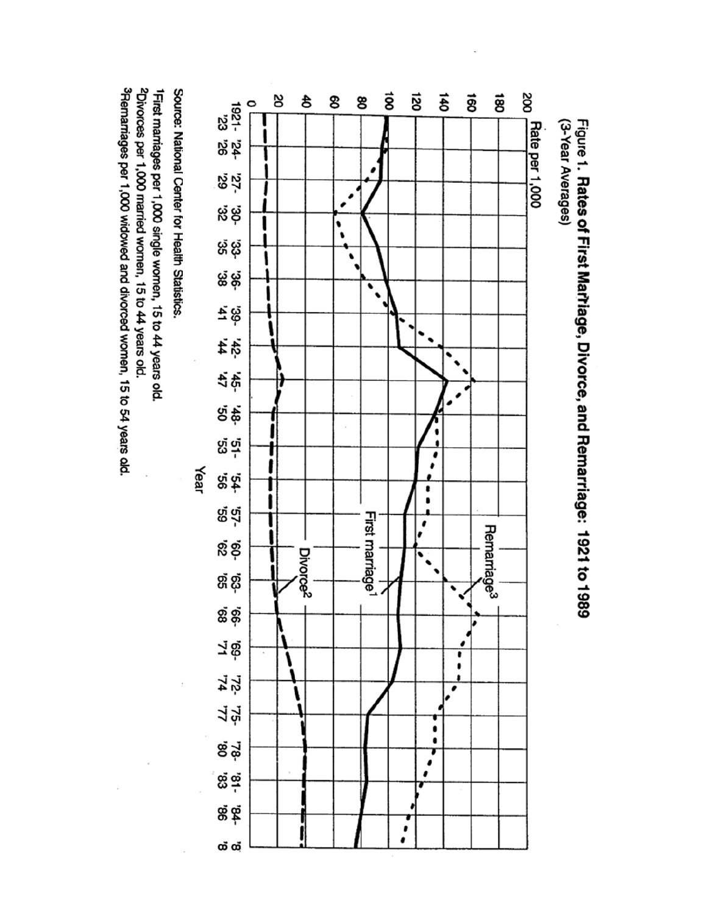ŝ ន 40 8 ĝ ĝ 2S đ 8 8 92, 82,<br>-t2, -1261 O Rate per 1,000 (3-Year Averages) ន្ទុំ និ ဖ္ပံ မွ ١  $\bullet$ ဖွဲ့ ဖွဲ ١  $\bullet$ ဖွဲ့ ဖွဲ ١ နဲ့ နဲ့ ٠  $\bullet$ 45. , gi es ង្ហី ជ្ម័ ĺ  $\overline{\cdot}$ ı Year gi çi<br>9 1  $\mathbf{I}$ ı 69.<br>- 29. First marriage  $\tilde{\cdot}$ Remarriage<sup>3</sup> စ္လံ စွဲ **Divorce<sup>2</sup>** 、 စ္ထံ စွဲ  $\vec{z}$  &  $\overline{\cdot}$ Ι **A2**<br>24  $\tilde{z}$ . **424**  $\vdots$ ළ ප්  $\dot{.}$ <u>ထံ ထံ</u> အို အို  $\cdot$ တဲ့ ထုံ

Figure 1. Rates of First Marriage, Divorce, and Remarriage: 1921 to 1989

Source: National Center for Health Statistics.

1First marriages per 1,000 single women, 15 to 44 years old

2Divorces per 1,000 married women, 15 to 44 years old.

<sup>3</sup>Remarriages per 1,000 widowed and divorced women, 15 to 54 years old.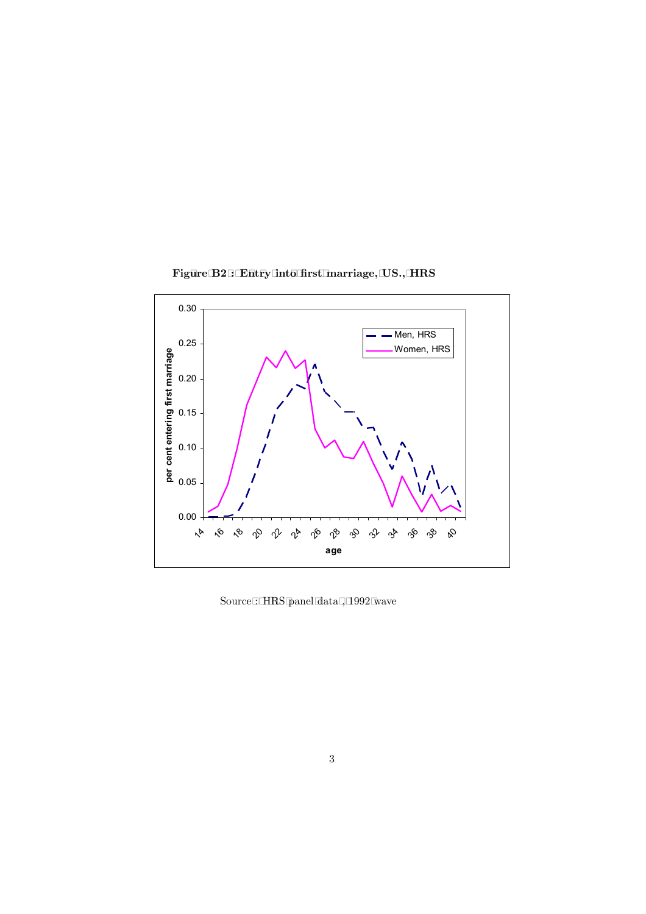

Figure B2 : Entry into first marriage, US., HRS

Source : HRS panel data ,  $1992$  wave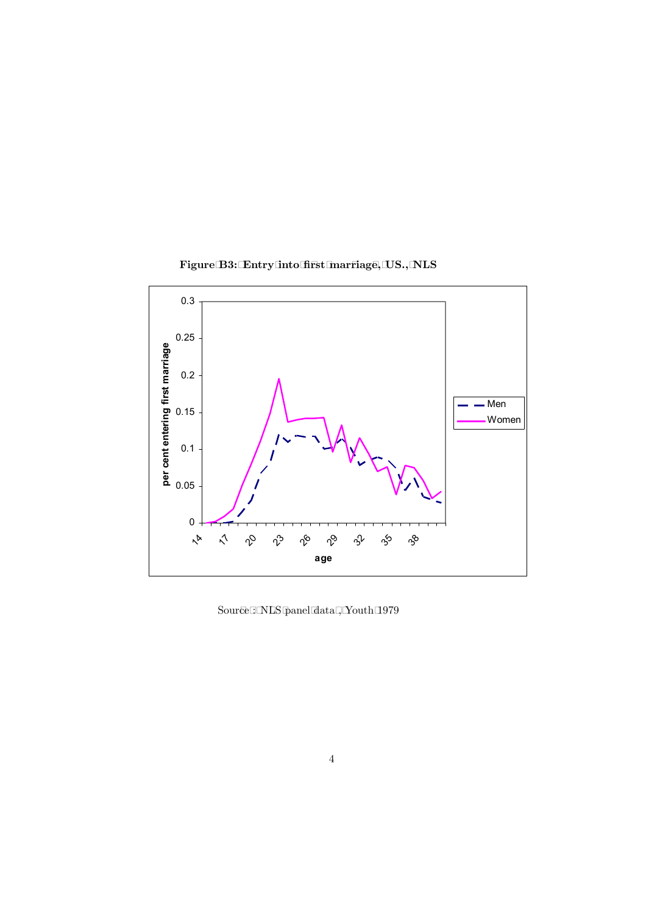

Figure B3: Entry into first marriage, US., NLS

Source : NLS panel data , Youth  $1979\,$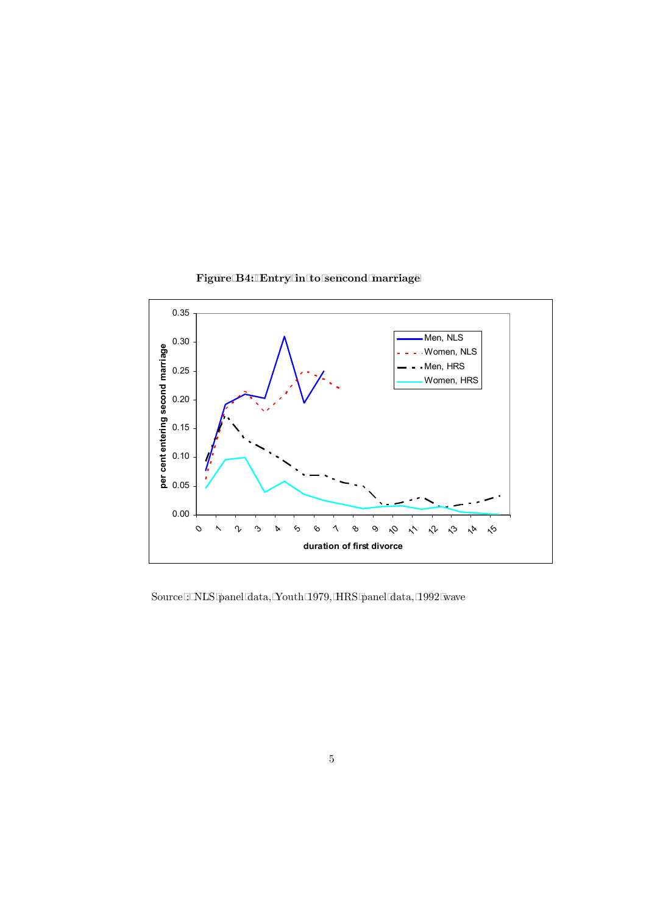

Figure B4: Entry in to sencond marriage

 $\mbox{Source}$  : NLS panel data, Youth 1979, HRS panel data, 1992 wave